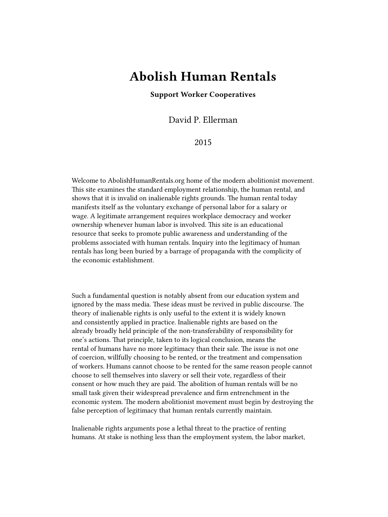# **Abolish Human Rentals**

**Support Worker Cooperatives**

David P. Ellerman

2015

Welcome to AbolishHumanRentals.org home of the modern abolitionist movement. This site examines the standard employment relationship, the human rental, and shows that it is invalid on inalienable rights grounds. The human rental today manifests itself as the voluntary exchange of personal labor for a salary or wage. A legitimate arrangement requires workplace democracy and worker ownership whenever human labor is involved. This site is an educational resource that seeks to promote public awareness and understanding of the problems associated with human rentals. Inquiry into the legitimacy of human rentals has long been buried by a barrage of propaganda with the complicity of the economic establishment.

Such a fundamental question is notably absent from our education system and ignored by the mass media. These ideas must be revived in public discourse. The theory of inalienable rights is only useful to the extent it is widely known and consistently applied in practice. Inalienable rights are based on the already broadly held principle of the non-transferability of responsibility for one's actions. That principle, taken to its logical conclusion, means the rental of humans have no more legitimacy than their sale. The issue is not one of coercion, willfully choosing to be rented, or the treatment and compensation of workers. Humans cannot choose to be rented for the same reason people cannot choose to sell themselves into slavery or sell their vote, regardless of their consent or how much they are paid. The abolition of human rentals will be no small task given their widespread prevalence and firm entrenchment in the economic system. The modern abolitionist movement must begin by destroying the false perception of legitimacy that human rentals currently maintain.

Inalienable rights arguments pose a lethal threat to the practice of renting humans. At stake is nothing less than the employment system, the labor market,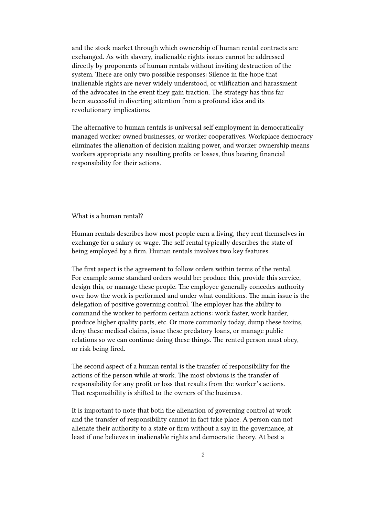and the stock market through which ownership of human rental contracts are exchanged. As with slavery, inalienable rights issues cannot be addressed directly by proponents of human rentals without inviting destruction of the system. There are only two possible responses: Silence in the hope that inalienable rights are never widely understood, or vilification and harassment of the advocates in the event they gain traction. The strategy has thus far been successful in diverting attention from a profound idea and its revolutionary implications.

The alternative to human rentals is universal self employment in democratically managed worker owned businesses, or worker cooperatives. Workplace democracy eliminates the alienation of decision making power, and worker ownership means workers appropriate any resulting profits or losses, thus bearing financial responsibility for their actions.

What is a human rental?

Human rentals describes how most people earn a living, they rent themselves in exchange for a salary or wage. The self rental typically describes the state of being employed by a firm. Human rentals involves two key features.

The first aspect is the agreement to follow orders within terms of the rental. For example some standard orders would be: produce this, provide this service, design this, or manage these people. The employee generally concedes authority over how the work is performed and under what conditions. The main issue is the delegation of positive governing control. The employer has the ability to command the worker to perform certain actions: work faster, work harder, produce higher quality parts, etc. Or more commonly today, dump these toxins, deny these medical claims, issue these predatory loans, or manage public relations so we can continue doing these things. The rented person must obey, or risk being fired.

The second aspect of a human rental is the transfer of responsibility for the actions of the person while at work. The most obvious is the transfer of responsibility for any profit or loss that results from the worker's actions. That responsibility is shifted to the owners of the business.

It is important to note that both the alienation of governing control at work and the transfer of responsibility cannot in fact take place. A person can not alienate their authority to a state or firm without a say in the governance, at least if one believes in inalienable rights and democratic theory. At best a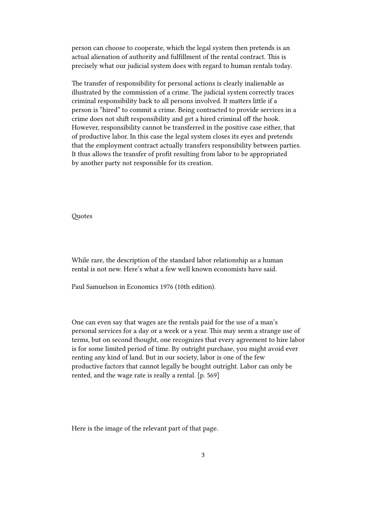person can choose to cooperate, which the legal system then pretends is an actual alienation of authority and fulfillment of the rental contract. This is precisely what our judicial system does with regard to human rentals today.

The transfer of responsibility for personal actions is clearly inalienable as illustrated by the commission of a crime. The judicial system correctly traces criminal responsibility back to all persons involved. It matters little if a person is "hired" to commit a crime. Being contracted to provide services in a crime does not shift responsibility and get a hired criminal off the hook. However, responsibility cannot be transferred in the positive case either, that of productive labor. In this case the legal system closes its eyes and pretends that the employment contract actually transfers responsibility between parties. It thus allows the transfer of profit resulting from labor to be appropriated by another party not responsible for its creation.

**Quotes** 

While rare, the description of the standard labor relationship as a human rental is not new. Here's what a few well known economists have said.

Paul Samuelson in Economics 1976 (10th edition).

One can even say that wages are the rentals paid for the use of a man's personal services for a day or a week or a year. This may seem a strange use of terms, but on second thought, one recognizes that every agreement to hire labor is for some limited period of time. By outright purchase, you might avoid ever renting any kind of land. But in our society, labor is one of the few productive factors that cannot legally be bought outright. Labor can only be rented, and the wage rate is really a rental. [p. 569]

Here is the image of the relevant part of that page.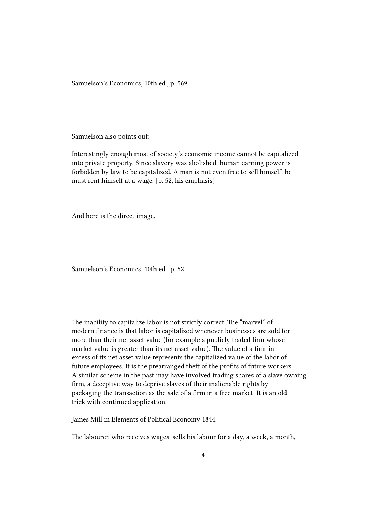Samuelson's Economics, 10th ed., p. 569

Samuelson also points out:

Interestingly enough most of society's economic income cannot be capitalized into private property. Since slavery was abolished, human earning power is forbidden by law to be capitalized. A man is not even free to sell himself: he must rent himself at a wage. [p. 52, his emphasis]

And here is the direct image.

Samuelson's Economics, 10th ed., p. 52

The inability to capitalize labor is not strictly correct. The "marvel" of modern finance is that labor is capitalized whenever businesses are sold for more than their net asset value (for example a publicly traded firm whose market value is greater than its net asset value). The value of a firm in excess of its net asset value represents the capitalized value of the labor of future employees. It is the prearranged theft of the profits of future workers. A similar scheme in the past may have involved trading shares of a slave owning firm, a deceptive way to deprive slaves of their inalienable rights by packaging the transaction as the sale of a firm in a free market. It is an old trick with continued application.

James Mill in Elements of Political Economy 1844.

The labourer, who receives wages, sells his labour for a day, a week, a month,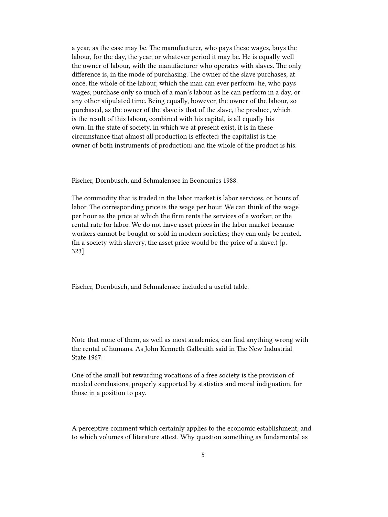a year, as the case may be. The manufacturer, who pays these wages, buys the labour, for the day, the year, or whatever period it may be. He is equally well the owner of labour, with the manufacturer who operates with slaves. The only difference is, in the mode of purchasing. The owner of the slave purchases, at once, the whole of the labour, which the man can ever perform: he, who pays wages, purchase only so much of a man's labour as he can perform in a day, or any other stipulated time. Being equally, however, the owner of the labour, so purchased, as the owner of the slave is that of the slave, the produce, which is the result of this labour, combined with his capital, is all equally his own. In the state of society, in which we at present exist, it is in these circumstance that almost all production is effected: the capitalist is the owner of both instruments of production: and the whole of the product is his.

Fischer, Dornbusch, and Schmalensee in Economics 1988.

The commodity that is traded in the labor market is labor services, or hours of labor. The corresponding price is the wage per hour. We can think of the wage per hour as the price at which the firm rents the services of a worker, or the rental rate for labor. We do not have asset prices in the labor market because workers cannot be bought or sold in modern societies; they can only be rented. (In a society with slavery, the asset price would be the price of a slave.) [p. 323]

Fischer, Dornbusch, and Schmalensee included a useful table.

Note that none of them, as well as most academics, can find anything wrong with the rental of humans. As John Kenneth Galbraith said in The New Industrial State 1967:

One of the small but rewarding vocations of a free society is the provision of needed conclusions, properly supported by statistics and moral indignation, for those in a position to pay.

A perceptive comment which certainly applies to the economic establishment, and to which volumes of literature attest. Why question something as fundamental as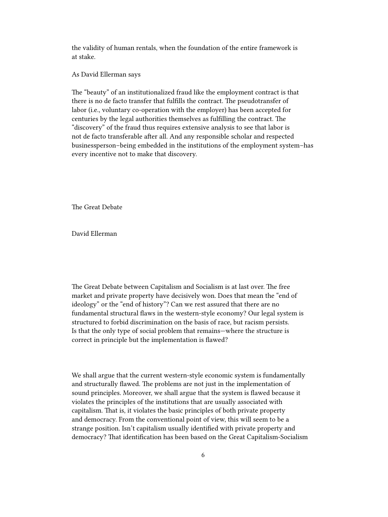the validity of human rentals, when the foundation of the entire framework is at stake.

As David Ellerman says

The "beauty" of an institutionalized fraud like the employment contract is that there is no de facto transfer that fulfills the contract. The pseudotransfer of labor (i.e., voluntary co-operation with the employer) has been accepted for centuries by the legal authorities themselves as fulfilling the contract. The "discovery" of the fraud thus requires extensive analysis to see that labor is not de facto transferable after all. And any responsible scholar and respected businessperson–being embedded in the institutions of the employment system–has every incentive not to make that discovery.

The Great Debate

David Ellerman

The Great Debate between Capitalism and Socialism is at last over. The free market and private property have decisively won. Does that mean the "end of ideology" or the "end of history"? Can we rest assured that there are no fundamental structural flaws in the western-style economy? Our legal system is structured to forbid discrimination on the basis of race, but racism persists. Is that the only type of social problem that remains—where the structure is correct in principle but the implementation is flawed?

We shall argue that the current western-style economic system is fundamentally and structurally flawed. The problems are not just in the implementation of sound principles. Moreover, we shall argue that the system is flawed because it violates the principles of the institutions that are usually associated with capitalism. That is, it violates the basic principles of both private property and democracy. From the conventional point of view, this will seem to be a strange position. Isn't capitalism usually identified with private property and democracy? That identification has been based on the Great Capitalism-Socialism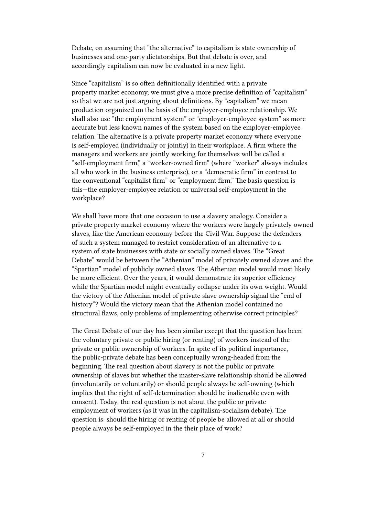Debate, on assuming that "the alternative" to capitalism is state ownership of businesses and one-party dictatorships. But that debate is over, and accordingly capitalism can now be evaluated in a new light.

Since "capitalism" is so often definitionally identified with a private property market economy, we must give a more precise definition of "capitalism" so that we are not just arguing about definitions. By "capitalism" we mean production organized on the basis of the employer-employee relationship. We shall also use "the employment system" or "employer-employee system" as more accurate but less known names of the system based on the employer-employee relation. The alternative is a private property market economy where everyone is self-employed (individually or jointly) in their workplace. A firm where the managers and workers are jointly working for themselves will be called a "self-employment firm," a "worker-owned firm" (where "worker" always includes all who work in the business enterprise), or a "democratic firm" in contrast to the conventional "capitalist firm" or "employment firm." The basis question is this—the employer-employee relation or universal self-employment in the workplace?

We shall have more that one occasion to use a slavery analogy. Consider a private property market economy where the workers were largely privately owned slaves, like the American economy before the Civil War. Suppose the defenders of such a system managed to restrict consideration of an alternative to a system of state businesses with state or socially owned slaves. The "Great Debate" would be between the "Athenian" model of privately owned slaves and the "Spartian" model of publicly owned slaves. The Athenian model would most likely be more efficient. Over the years, it would demonstrate its superior efficiency while the Spartian model might eventually collapse under its own weight. Would the victory of the Athenian model of private slave ownership signal the "end of history"? Would the victory mean that the Athenian model contained no structural flaws, only problems of implementing otherwise correct principles?

The Great Debate of our day has been similar except that the question has been the voluntary private or public hiring (or renting) of workers instead of the private or public ownership of workers. In spite of its political importance, the public-private debate has been conceptually wrong-headed from the beginning. The real question about slavery is not the public or private ownership of slaves but whether the master-slave relationship should be allowed (involuntarily or voluntarily) or should people always be self-owning (which implies that the right of self-determination should be inalienable even with consent). Today, the real question is not about the public or private employment of workers (as it was in the capitalism-socialism debate). The question is: should the hiring or renting of people be allowed at all or should people always be self-employed in the their place of work?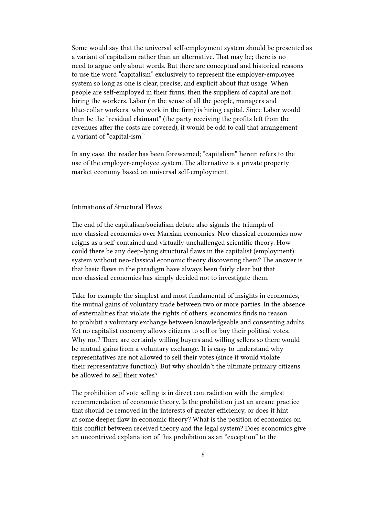Some would say that the universal self-employment system should be presented as a variant of capitalism rather than an alternative. That may be; there is no need to argue only about words. But there are conceptual and historical reasons to use the word "capitalism" exclusively to represent the employer-employee system so long as one is clear, precise, and explicit about that usage. When people are self-employed in their firms, then the suppliers of capital are not hiring the workers. Labor (in the sense of all the people, managers and blue-collar workers, who work in the firm) is hiring capital. Since Labor would then be the "residual claimant" (the party receiving the profits left from the revenues after the costs are covered), it would be odd to call that arrangement a variant of "capital-ism."

In any case, the reader has been forewarned; "capitalism" herein refers to the use of the employer-employee system. The alternative is a private property market economy based on universal self-employment.

## Intimations of Structural Flaws

The end of the capitalism/socialism debate also signals the triumph of neo-classical economics over Marxian economics. Neo-classical economics now reigns as a self-contained and virtually unchallenged scientific theory. How could there be any deep-lying structural flaws in the capitalist (employment) system without neo-classical economic theory discovering them? The answer is that basic flaws in the paradigm have always been fairly clear but that neo-classical economics has simply decided not to investigate them.

Take for example the simplest and most fundamental of insights in economics, the mutual gains of voluntary trade between two or more parties. In the absence of externalities that violate the rights of others, economics finds no reason to prohibit a voluntary exchange between knowledgeable and consenting adults. Yet no capitalist economy allows citizens to sell or buy their political votes. Why not? There are certainly willing buyers and willing sellers so there would be mutual gains from a voluntary exchange. It is easy to understand why representatives are not allowed to sell their votes (since it would violate their representative function). But why shouldn't the ultimate primary citizens be allowed to sell their votes?

The prohibition of vote selling is in direct contradiction with the simplest recommendation of economic theory. Is the prohibition just an arcane practice that should be removed in the interests of greater efficiency, or does it hint at some deeper flaw in economic theory? What is the position of economics on this conflict between received theory and the legal system? Does economics give an uncontrived explanation of this prohibition as an "exception" to the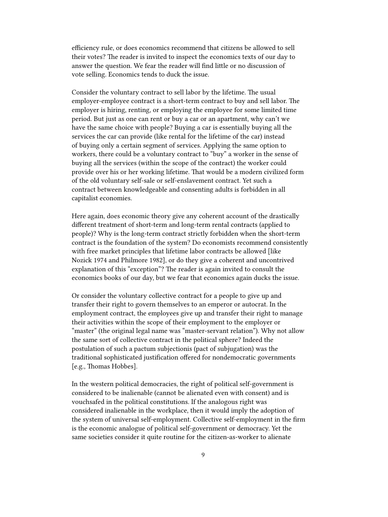efficiency rule, or does economics recommend that citizens be allowed to sell their votes? The reader is invited to inspect the economics texts of our day to answer the question. We fear the reader will find little or no discussion of vote selling. Economics tends to duck the issue.

Consider the voluntary contract to sell labor by the lifetime. The usual employer-employee contract is a short-term contract to buy and sell labor. The employer is hiring, renting, or employing the employee for some limited time period. But just as one can rent or buy a car or an apartment, why can't we have the same choice with people? Buying a car is essentially buying all the services the car can provide (like rental for the lifetime of the car) instead of buying only a certain segment of services. Applying the same option to workers, there could be a voluntary contract to "buy" a worker in the sense of buying all the services (within the scope of the contract) the worker could provide over his or her working lifetime. That would be a modern civilized form of the old voluntary self-sale or self-enslavement contract. Yet such a contract between knowledgeable and consenting adults is forbidden in all capitalist economies.

Here again, does economic theory give any coherent account of the drastically different treatment of short-term and long-term rental contracts (applied to people)? Why is the long-term contract strictly forbidden when the short-term contract is the foundation of the system? Do economists recommend consistently with free market principles that lifetime labor contracts be allowed [like Nozick 1974 and Philmore 1982], or do they give a coherent and uncontrived explanation of this "exception"? The reader is again invited to consult the economics books of our day, but we fear that economics again ducks the issue.

Or consider the voluntary collective contract for a people to give up and transfer their right to govern themselves to an emperor or autocrat. In the employment contract, the employees give up and transfer their right to manage their activities within the scope of their employment to the employer or "master" (the original legal name was "master-servant relation"). Why not allow the same sort of collective contract in the political sphere? Indeed the postulation of such a pactum subjectionis (pact of subjugation) was the traditional sophisticated justification offered for nondemocratic governments [e.g., Thomas Hobbes].

In the western political democracies, the right of political self-government is considered to be inalienable (cannot be alienated even with consent) and is vouchsafed in the political constitutions. If the analogous right was considered inalienable in the workplace, then it would imply the adoption of the system of universal self-employment. Collective self-employment in the firm is the economic analogue of political self-government or democracy. Yet the same societies consider it quite routine for the citizen-as-worker to alienate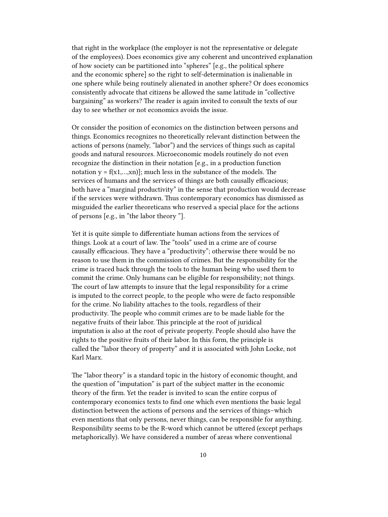that right in the workplace (the employer is not the representative or delegate of the employees). Does economics give any coherent and uncontrived explanation of how society can be partitioned into "spheres" [e.g., the political sphere and the economic sphere] so the right to self-determination is inalienable in one sphere while being routinely alienated in another sphere? Or does economics consistently advocate that citizens be allowed the same latitude in "collective bargaining" as workers? The reader is again invited to consult the texts of our day to see whether or not economics avoids the issue.

Or consider the position of economics on the distinction between persons and things. Economics recognizes no theoretically relevant distinction between the actions of persons (namely, "labor") and the services of things such as capital goods and natural resources. Microeconomic models routinely do not even recognize the distinction in their notation [e.g., in a production function notation  $y = f(x1,...,xn)$ ; much less in the substance of the models. The services of humans and the services of things are both causally efficacious; both have a "marginal productivity" in the sense that production would decrease if the services were withdrawn. Thus contemporary economics has dismissed as misguided the earlier theoreticans who reserved a special place for the actions of persons [e.g., in "the labor theory "].

Yet it is quite simple to differentiate human actions from the services of things. Look at a court of law. The "tools" used in a crime are of course causally efficacious. They have a "productivity"; otherwise there would be no reason to use them in the commission of crimes. But the responsibility for the crime is traced back through the tools to the human being who used them to commit the crime. Only humans can be eligible for responsibility; not things. The court of law attempts to insure that the legal responsibility for a crime is imputed to the correct people, to the people who were de facto responsible for the crime. No liability attaches to the tools, regardless of their productivity. The people who commit crimes are to be made liable for the negative fruits of their labor. This principle at the root of juridical imputation is also at the root of private property. People should also have the rights to the positive fruits of their labor. In this form, the principle is called the "labor theory of property" and it is associated with John Locke, not Karl Marx.

The "labor theory" is a standard topic in the history of economic thought, and the question of "imputation" is part of the subject matter in the economic theory of the firm. Yet the reader is invited to scan the entire corpus of contemporary economics texts to find one which even mentions the basic legal distinction between the actions of persons and the services of things–which even mentions that only persons, never things, can be responsible for anything. Responsibility seems to be the R-word which cannot be uttered (except perhaps metaphorically). We have considered a number of areas where conventional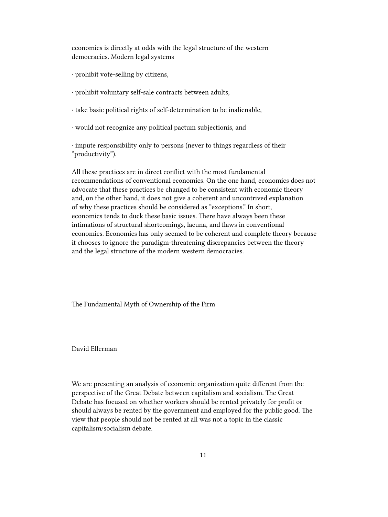economics is directly at odds with the legal structure of the western democracies. Modern legal systems

- · prohibit vote-selling by citizens,
- · prohibit voluntary self-sale contracts between adults,
- · take basic political rights of self-determination to be inalienable,
- · would not recognize any political pactum subjectionis, and

· impute responsibility only to persons (never to things regardless of their "productivity").

All these practices are in direct conflict with the most fundamental recommendations of conventional economics. On the one hand, economics does not advocate that these practices be changed to be consistent with economic theory and, on the other hand, it does not give a coherent and uncontrived explanation of why these practices should be considered as "exceptions." In short, economics tends to duck these basic issues. There have always been these intimations of structural shortcomings, lacuna, and flaws in conventional economics. Economics has only seemed to be coherent and complete theory because it chooses to ignore the paradigm-threatening discrepancies between the theory and the legal structure of the modern western democracies.

The Fundamental Myth of Ownership of the Firm

David Ellerman

We are presenting an analysis of economic organization quite different from the perspective of the Great Debate between capitalism and socialism. The Great Debate has focused on whether workers should be rented privately for profit or should always be rented by the government and employed for the public good. The view that people should not be rented at all was not a topic in the classic capitalism/socialism debate.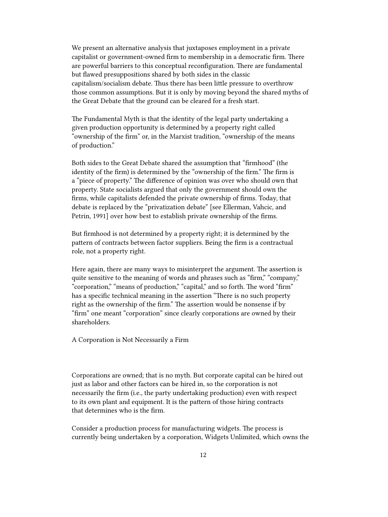We present an alternative analysis that juxtaposes employment in a private capitalist or government-owned firm to membership in a democratic firm. There are powerful barriers to this conceptual reconfiguration. There are fundamental but flawed presuppositions shared by both sides in the classic capitalism/socialism debate. Thus there has been little pressure to overthrow those common assumptions. But it is only by moving beyond the shared myths of the Great Debate that the ground can be cleared for a fresh start.

The Fundamental Myth is that the identity of the legal party undertaking a given production opportunity is determined by a property right called "ownership of the firm" or, in the Marxist tradition, "ownership of the means of production."

Both sides to the Great Debate shared the assumption that "firmhood" (the identity of the firm) is determined by the "ownership of the firm." The firm is a "piece of property." The difference of opinion was over who should own that property. State socialists argued that only the government should own the firms, while capitalists defended the private ownership of firms. Today, that debate is replaced by the "privatization debate" [see Ellerman, Vahcic, and Petrin, 1991] over how best to establish private ownership of the firms.

But firmhood is not determined by a property right; it is determined by the pattern of contracts between factor suppliers. Being the firm is a contractual role, not a property right.

Here again, there are many ways to misinterpret the argument. The assertion is quite sensitive to the meaning of words and phrases such as "firm," "company," "corporation," "means of production," "capital," and so forth. The word "firm" has a specific technical meaning in the assertion "There is no such property right as the ownership of the firm." The assertion would be nonsense if by "firm" one meant "corporation" since clearly corporations are owned by their shareholders.

A Corporation is Not Necessarily a Firm

Corporations are owned; that is no myth. But corporate capital can be hired out just as labor and other factors can be hired in, so the corporation is not necessarily the firm (i.e., the party undertaking production) even with respect to its own plant and equipment. It is the pattern of those hiring contracts that determines who is the firm.

Consider a production process for manufacturing widgets. The process is currently being undertaken by a corporation, Widgets Unlimited, which owns the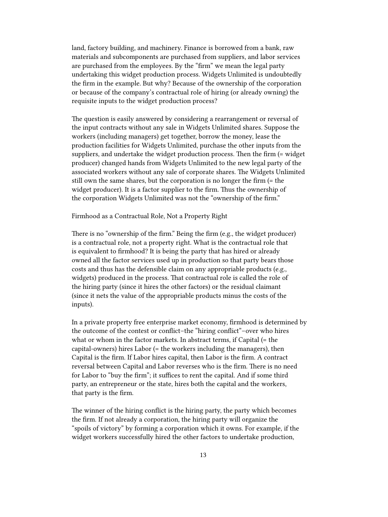land, factory building, and machinery. Finance is borrowed from a bank, raw materials and subcomponents are purchased from suppliers, and labor services are purchased from the employees. By the "firm" we mean the legal party undertaking this widget production process. Widgets Unlimited is undoubtedly the firm in the example. But why? Because of the ownership of the corporation or because of the company's contractual role of hiring (or already owning) the requisite inputs to the widget production process?

The question is easily answered by considering a rearrangement or reversal of the input contracts without any sale in Widgets Unlimited shares. Suppose the workers (including managers) get together, borrow the money, lease the production facilities for Widgets Unlimited, purchase the other inputs from the suppliers, and undertake the widget production process. Then the firm (= widget producer) changed hands from Widgets Unlimited to the new legal party of the associated workers without any sale of corporate shares. The Widgets Unlimited still own the same shares, but the corporation is no longer the firm (= the widget producer). It is a factor supplier to the firm. Thus the ownership of the corporation Widgets Unlimited was not the "ownership of the firm."

Firmhood as a Contractual Role, Not a Property Right

There is no "ownership of the firm." Being the firm (e.g., the widget producer) is a contractual role, not a property right. What is the contractual role that is equivalent to firmhood? It is being the party that has hired or already owned all the factor services used up in production so that party bears those costs and thus has the defensible claim on any appropriable products (e.g., widgets) produced in the process. That contractual role is called the role of the hiring party (since it hires the other factors) or the residual claimant (since it nets the value of the appropriable products minus the costs of the inputs).

In a private property free enterprise market economy, firmhood is determined by the outcome of the contest or conflict–the "hiring conflict"–over who hires what or whom in the factor markets. In abstract terms, if Capital (= the capital-owners) hires Labor (= the workers including the managers), then Capital is the firm. If Labor hires capital, then Labor is the firm. A contract reversal between Capital and Labor reverses who is the firm. There is no need for Labor to "buy the firm"; it suffices to rent the capital. And if some third party, an entrepreneur or the state, hires both the capital and the workers, that party is the firm.

The winner of the hiring conflict is the hiring party, the party which becomes the firm. If not already a corporation, the hiring party will organize the "spoils of victory" by forming a corporation which it owns. For example, if the widget workers successfully hired the other factors to undertake production,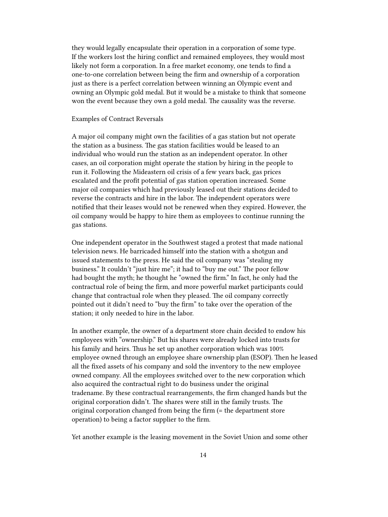they would legally encapsulate their operation in a corporation of some type. If the workers lost the hiring conflict and remained employees, they would most likely not form a corporation. In a free market economy, one tends to find a one-to-one correlation between being the firm and ownership of a corporation just as there is a perfect correlation between winning an Olympic event and owning an Olympic gold medal. But it would be a mistake to think that someone won the event because they own a gold medal. The causality was the reverse.

#### Examples of Contract Reversals

A major oil company might own the facilities of a gas station but not operate the station as a business. The gas station facilities would be leased to an individual who would run the station as an independent operator. In other cases, an oil corporation might operate the station by hiring in the people to run it. Following the Mideastern oil crisis of a few years back, gas prices escalated and the profit potential of gas station operation increased. Some major oil companies which had previously leased out their stations decided to reverse the contracts and hire in the labor. The independent operators were notified that their leases would not be renewed when they expired. However, the oil company would be happy to hire them as employees to continue running the gas stations.

One independent operator in the Southwest staged a protest that made national television news. He barricaded himself into the station with a shotgun and issued statements to the press. He said the oil company was "stealing my business." It couldn't "just hire me"; it had to "buy me out." The poor fellow had bought the myth; he thought he "owned the firm." In fact, he only had the contractual role of being the firm, and more powerful market participants could change that contractual role when they pleased. The oil company correctly pointed out it didn't need to "buy the firm" to take over the operation of the station; it only needed to hire in the labor.

In another example, the owner of a department store chain decided to endow his employees with "ownership." But his shares were already locked into trusts for his family and heirs. Thus he set up another corporation which was 100% employee owned through an employee share ownership plan (ESOP). Then he leased all the fixed assets of his company and sold the inventory to the new employee owned company. All the employees switched over to the new corporation which also acquired the contractual right to do business under the original tradename. By these contractual rearrangements, the firm changed hands but the original corporation didn't. The shares were still in the family trusts. The original corporation changed from being the firm (= the department store operation) to being a factor supplier to the firm.

Yet another example is the leasing movement in the Soviet Union and some other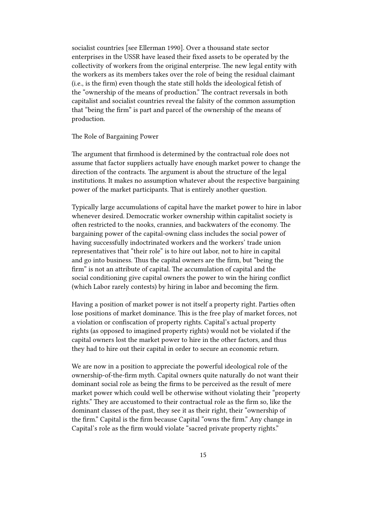socialist countries [see Ellerman 1990]. Over a thousand state sector enterprises in the USSR have leased their fixed assets to be operated by the collectivity of workers from the original enterprise. The new legal entity with the workers as its members takes over the role of being the residual claimant (i.e., is the firm) even though the state still holds the ideological fetish of the "ownership of the means of production." The contract reversals in both capitalist and socialist countries reveal the falsity of the common assumption that "being the firm" is part and parcel of the ownership of the means of production.

## The Role of Bargaining Power

The argument that firmhood is determined by the contractual role does not assume that factor suppliers actually have enough market power to change the direction of the contracts. The argument is about the structure of the legal institutions. It makes no assumption whatever about the respective bargaining power of the market participants. That is entirely another question.

Typically large accumulations of capital have the market power to hire in labor whenever desired. Democratic worker ownership within capitalist society is often restricted to the nooks, crannies, and backwaters of the economy. The bargaining power of the capital-owning class includes the social power of having successfully indoctrinated workers and the workers' trade union representatives that "their role" is to hire out labor, not to hire in capital and go into business. Thus the capital owners are the firm, but "being the firm" is not an attribute of capital. The accumulation of capital and the social conditioning give capital owners the power to win the hiring conflict (which Labor rarely contests) by hiring in labor and becoming the firm.

Having a position of market power is not itself a property right. Parties often lose positions of market dominance. This is the free play of market forces, not a violation or confiscation of property rights. Capital's actual property rights (as opposed to imagined property rights) would not be violated if the capital owners lost the market power to hire in the other factors, and thus they had to hire out their capital in order to secure an economic return.

We are now in a position to appreciate the powerful ideological role of the ownership-of-the-firm myth. Capital owners quite naturally do not want their dominant social role as being the firms to be perceived as the result of mere market power which could well be otherwise without violating their "property rights." They are accustomed to their contractual role as the firm so, like the dominant classes of the past, they see it as their right, their "ownership of the firm." Capital is the firm because Capital "owns the firm." Any change in Capital's role as the firm would violate "sacred private property rights."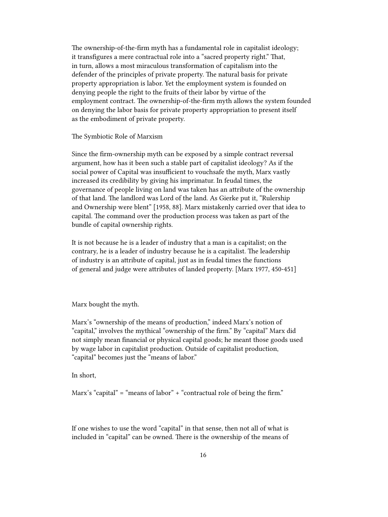The ownership-of-the-firm myth has a fundamental role in capitalist ideology; it transfigures a mere contractual role into a "sacred property right." That, in turn, allows a most miraculous transformation of capitalism into the defender of the principles of private property. The natural basis for private property appropriation is labor. Yet the employment system is founded on denying people the right to the fruits of their labor by virtue of the employment contract. The ownership-of-the-firm myth allows the system founded on denying the labor basis for private property appropriation to present itself as the embodiment of private property.

The Symbiotic Role of Marxism

Since the firm-ownership myth can be exposed by a simple contract reversal argument, how has it been such a stable part of capitalist ideology? As if the social power of Capital was insufficient to vouchsafe the myth, Marx vastly increased its credibility by giving his imprimatur. In feudal times, the governance of people living on land was taken has an attribute of the ownership of that land. The landlord was Lord of the land. As Gierke put it, "Rulership and Ownership were blent" [1958, 88]. Marx mistakenly carried over that idea to capital. The command over the production process was taken as part of the bundle of capital ownership rights.

It is not because he is a leader of industry that a man is a capitalist; on the contrary, he is a leader of industry because he is a capitalist. The leadership of industry is an attribute of capital, just as in feudal times the functions of general and judge were attributes of landed property. [Marx 1977, 450-451]

Marx bought the myth.

Marx's "ownership of the means of production," indeed Marx's notion of "capital," involves the mythical "ownership of the firm." By "capital" Marx did not simply mean financial or physical capital goods; he meant those goods used by wage labor in capitalist production. Outside of capitalist production, "capital" becomes just the "means of labor."

In short,

Marx's "capital" = "means of labor" + "contractual role of being the firm."

If one wishes to use the word "capital" in that sense, then not all of what is included in "capital" can be owned. There is the ownership of the means of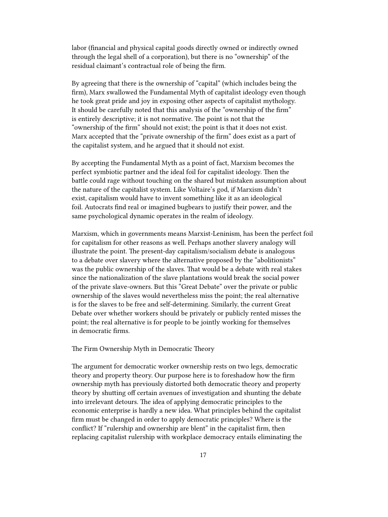labor (financial and physical capital goods directly owned or indirectly owned through the legal shell of a corporation), but there is no "ownership" of the residual claimant's contractual role of being the firm.

By agreeing that there is the ownership of "capital" (which includes being the firm), Marx swallowed the Fundamental Myth of capitalist ideology even though he took great pride and joy in exposing other aspects of capitalist mythology. It should be carefully noted that this analysis of the "ownership of the firm" is entirely descriptive; it is not normative. The point is not that the "ownership of the firm" should not exist; the point is that it does not exist. Marx accepted that the "private ownership of the firm" does exist as a part of the capitalist system, and he argued that it should not exist.

By accepting the Fundamental Myth as a point of fact, Marxism becomes the perfect symbiotic partner and the ideal foil for capitalist ideology. Then the battle could rage without touching on the shared but mistaken assumption about the nature of the capitalist system. Like Voltaire's god, if Marxism didn't exist, capitalism would have to invent something like it as an ideological foil. Autocrats find real or imagined bugbears to justify their power, and the same psychological dynamic operates in the realm of ideology.

Marxism, which in governments means Marxist-Leninism, has been the perfect foil for capitalism for other reasons as well. Perhaps another slavery analogy will illustrate the point. The present-day capitalism/socialism debate is analogous to a debate over slavery where the alternative proposed by the "abolitionists" was the public ownership of the slaves. That would be a debate with real stakes since the nationalization of the slave plantations would break the social power of the private slave-owners. But this "Great Debate" over the private or public ownership of the slaves would nevertheless miss the point; the real alternative is for the slaves to be free and self-determining. Similarly, the current Great Debate over whether workers should be privately or publicly rented misses the point; the real alternative is for people to be jointly working for themselves in democratic firms.

The Firm Ownership Myth in Democratic Theory

The argument for democratic worker ownership rests on two legs, democratic theory and property theory. Our purpose here is to foreshadow how the firm ownership myth has previously distorted both democratic theory and property theory by shutting off certain avenues of investigation and shunting the debate into irrelevant detours. The idea of applying democratic principles to the economic enterprise is hardly a new idea. What principles behind the capitalist firm must be changed in order to apply democratic principles? Where is the conflict? If "rulership and ownership are blent" in the capitalist firm, then replacing capitalist rulership with workplace democracy entails eliminating the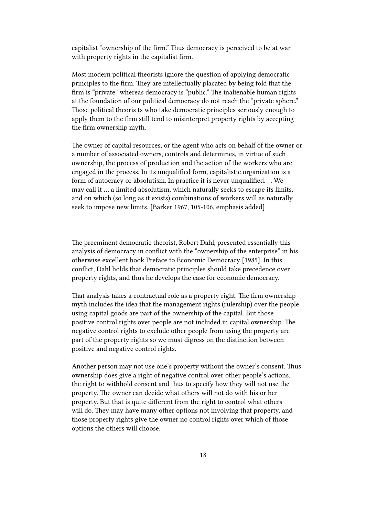capitalist "ownership of the firm." Thus democracy is perceived to be at war with property rights in the capitalist firm.

Most modern political theorists ignore the question of applying democratic principles to the firm. They are intellectually placated by being told that the firm is "private" whereas democracy is "public." The inalienable human rights at the foundation of our political democracy do not reach the "private sphere." Those political theoris ts who take democratic principles seriously enough to apply them to the firm still tend to misinterpret property rights by accepting the firm ownership myth.

The owner of capital resources, or the agent who acts on behalf of the owner or a number of associated owners, controls and determines, in virtue of such ownership, the process of production and the action of the workers who are engaged in the process. In its unqualified form, capitalistic organization is a form of autocracy or absolutism. In practice it is never unqualified. . . We may call it … a limited absolutism, which naturally seeks to escape its limits, and on which (so long as it exists) combinations of workers will as naturally seek to impose new limits. [Barker 1967, 105-106, emphasis added]

The preeminent democratic theorist, Robert Dahl, presented essentially this analysis of democracy in conflict with the "ownership of the enterprise" in his otherwise excellent book Preface to Economic Democracy [1985]. In this conflict, Dahl holds that democratic principles should take precedence over property rights, and thus he develops the case for economic democracy.

That analysis takes a contractual role as a property right. The firm ownership myth includes the idea that the management rights (rulership) over the people using capital goods are part of the ownership of the capital. But those positive control rights over people are not included in capital ownership. The negative control rights to exclude other people from using the property are part of the property rights so we must digress on the distinction between positive and negative control rights.

Another person may not use one's property without the owner's consent. Thus ownership does give a right of negative control over other people's actions, the right to withhold consent and thus to specify how they will not use the property. The owner can decide what others will not do with his or her property. But that is quite different from the right to control what others will do. They may have many other options not involving that property, and those property rights give the owner no control rights over which of those options the others will choose.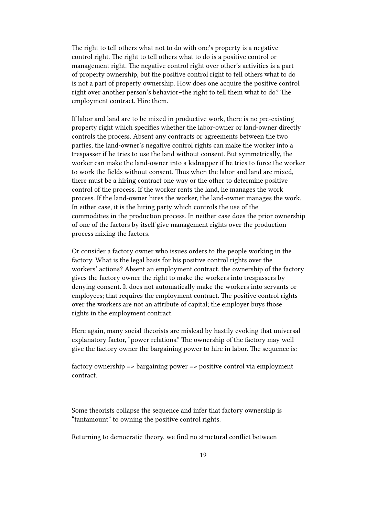The right to tell others what not to do with one's property is a negative control right. The right to tell others what to do is a positive control or management right. The negative control right over other's activities is a part of property ownership, but the positive control right to tell others what to do is not a part of property ownership. How does one acquire the positive control right over another person's behavior–the right to tell them what to do? The employment contract. Hire them.

If labor and land are to be mixed in productive work, there is no pre-existing property right which specifies whether the labor-owner or land-owner directly controls the process. Absent any contracts or agreements between the two parties, the land-owner's negative control rights can make the worker into a trespasser if he tries to use the land without consent. But symmetrically, the worker can make the land-owner into a kidnapper if he tries to force the worker to work the fields without consent. Thus when the labor and land are mixed, there must be a hiring contract one way or the other to determine positive control of the process. If the worker rents the land, he manages the work process. If the land-owner hires the worker, the land-owner manages the work. In either case, it is the hiring party which controls the use of the commodities in the production process. In neither case does the prior ownership of one of the factors by itself give management rights over the production process mixing the factors.

Or consider a factory owner who issues orders to the people working in the factory. What is the legal basis for his positive control rights over the workers' actions? Absent an employment contract, the ownership of the factory gives the factory owner the right to make the workers into trespassers by denying consent. It does not automatically make the workers into servants or employees; that requires the employment contract. The positive control rights over the workers are not an attribute of capital; the employer buys those rights in the employment contract.

Here again, many social theorists are mislead by hastily evoking that universal explanatory factor, "power relations." The ownership of the factory may well give the factory owner the bargaining power to hire in labor. The sequence is:

factory ownership => bargaining power => positive control via employment contract.

Some theorists collapse the sequence and infer that factory ownership is "tantamount" to owning the positive control rights.

Returning to democratic theory, we find no structural conflict between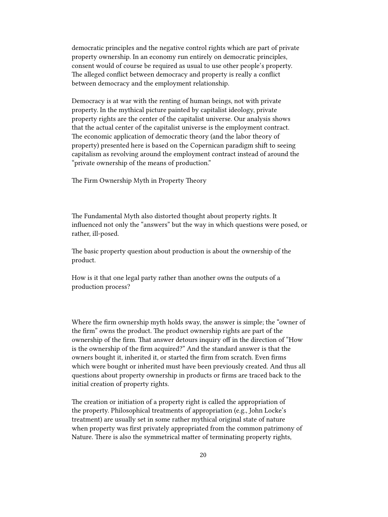democratic principles and the negative control rights which are part of private property ownership. In an economy run entirely on democratic principles, consent would of course be required as usual to use other people's property. The alleged conflict between democracy and property is really a conflict between democracy and the employment relationship.

Democracy is at war with the renting of human beings, not with private property. In the mythical picture painted by capitalist ideology, private property rights are the center of the capitalist universe. Our analysis shows that the actual center of the capitalist universe is the employment contract. The economic application of democratic theory (and the labor theory of property) presented here is based on the Copernican paradigm shift to seeing capitalism as revolving around the employment contract instead of around the "private ownership of the means of production."

The Firm Ownership Myth in Property Theory

The Fundamental Myth also distorted thought about property rights. It influenced not only the "answers" but the way in which questions were posed, or rather, ill-posed.

The basic property question about production is about the ownership of the product.

How is it that one legal party rather than another owns the outputs of a production process?

Where the firm ownership myth holds sway, the answer is simple; the "owner of the firm" owns the product. The product ownership rights are part of the ownership of the firm. That answer detours inquiry off in the direction of "How is the ownership of the firm acquired?" And the standard answer is that the owners bought it, inherited it, or started the firm from scratch. Even firms which were bought or inherited must have been previously created. And thus all questions about property ownership in products or firms are traced back to the initial creation of property rights.

The creation or initiation of a property right is called the appropriation of the property. Philosophical treatments of appropriation (e.g., John Locke's treatment) are usually set in some rather mythical original state of nature when property was first privately appropriated from the common patrimony of Nature. There is also the symmetrical matter of terminating property rights,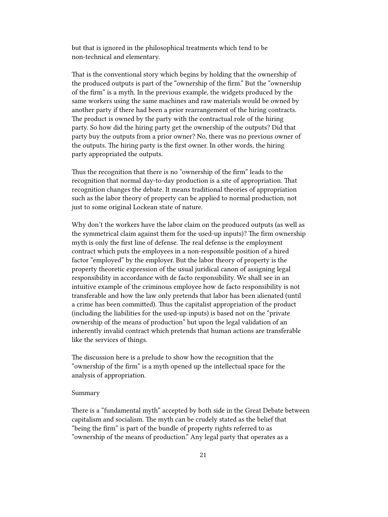but that is ignored in the philosophical treatments which tend to be non-technical and elementary.

That is the conventional story which begins by holding that the ownership of the produced outputs is part of the "ownership of the firm." But the "ownership of the firm" is a myth. In the previous example, the widgets produced by the same workers using the same machines and raw materials would be owned by another party if there had been a prior rearrangement of the hiring contracts. The product is owned by the party with the contractual role of the hiring party. So how did the hiring party get the ownership of the outputs? Did that party buy the outputs from a prior owner? No, there was no previous owner of the outputs. The hiring party is the first owner. In other words, the hiring party appropriated the outputs.

Thus the recognition that there is no "ownership of the firm" leads to the recognition that normal day-to-day production is a site of appropriation. That recognition changes the debate. It means traditional theories of appropriation such as the labor theory of property can be applied to normal production, not just to some original Lockean state of nature.

Why don't the workers have the labor claim on the produced outputs (as well as the symmetrical claim against them for the used-up inputs)? The firm ownership myth is only the first line of defense. The real defense is the employment contract which puts the employees in a non-responsible position of a hired factor "employed" by the employer. But the labor theory of property is the property theoretic expression of the usual juridical canon of assigning legal responsibility in accordance with de facto responsibility. We shall see in an intuitive example of the criminous employee how de facto responsibility is not transferable and how the law only pretends that labor has been alienated (until a crime has been committed). Thus the capitalist appropriation of the product (including the liabilities for the used-up inputs) is based not on the "private ownership of the means of production" but upon the legal validation of an inherently invalid contract which pretends that human actions are transferable like the services of things.

The discussion here is a prelude to show how the recognition that the "ownership of the firm" is a myth opened up the intellectual space for the analysis of appropriation.

#### Summary

There is a "fundamental myth" accepted by both side in the Great Debate between capitalism and socialism. The myth can be crudely stated as the belief that "being the firm" is part of the bundle of property rights referred to as "ownership of the means of production." Any legal party that operates as a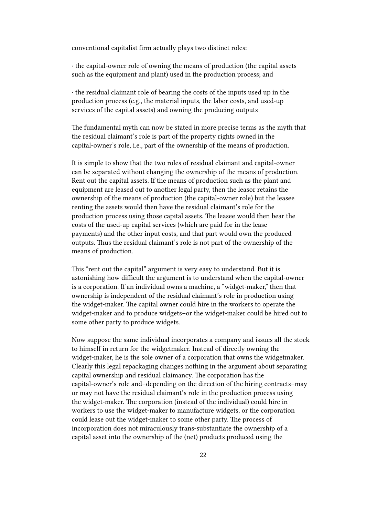conventional capitalist firm actually plays two distinct roles:

· the capital-owner role of owning the means of production (the capital assets such as the equipment and plant) used in the production process; and

· the residual claimant role of bearing the costs of the inputs used up in the production process (e.g., the material inputs, the labor costs, and used-up services of the capital assets) and owning the producing outputs

The fundamental myth can now be stated in more precise terms as the myth that the residual claimant's role is part of the property rights owned in the capital-owner's role, i.e., part of the ownership of the means of production.

It is simple to show that the two roles of residual claimant and capital-owner can be separated without changing the ownership of the means of production. Rent out the capital assets. If the means of production such as the plant and equipment are leased out to another legal party, then the leasor retains the ownership of the means of production (the capital-owner role) but the leasee renting the assets would then have the residual claimant's role for the production process using those capital assets. The leasee would then bear the costs of the used-up capital services (which are paid for in the lease payments) and the other input costs, and that part would own the produced outputs. Thus the residual claimant's role is not part of the ownership of the means of production.

This "rent out the capital" argument is very easy to understand. But it is astonishing how difficult the argument is to understand when the capital-owner is a corporation. If an individual owns a machine, a "widget-maker," then that ownership is independent of the residual claimant's role in production using the widget-maker. The capital owner could hire in the workers to operate the widget-maker and to produce widgets–or the widget-maker could be hired out to some other party to produce widgets.

Now suppose the same individual incorporates a company and issues all the stock to himself in return for the widgetmaker. Instead of directly owning the widget-maker, he is the sole owner of a corporation that owns the widgetmaker. Clearly this legal repackaging changes nothing in the argument about separating capital ownership and residual claimancy. The corporation has the capital-owner's role and–depending on the direction of the hiring contracts–may or may not have the residual claimant's role in the production process using the widget-maker. The corporation (instead of the individual) could hire in workers to use the widget-maker to manufacture widgets, or the corporation could lease out the widget-maker to some other party. The process of incorporation does not miraculously trans-substantiate the ownership of a capital asset into the ownership of the (net) products produced using the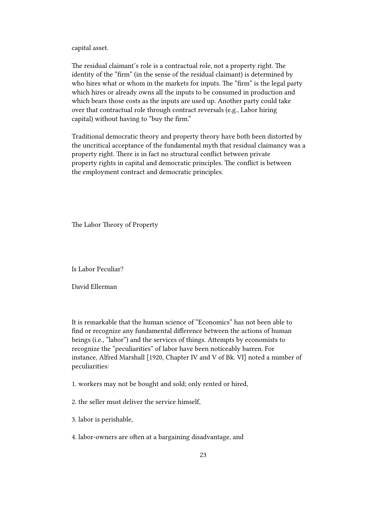capital asset.

The residual claimant's role is a contractual role, not a property right. The identity of the "firm" (in the sense of the residual claimant) is determined by who hires what or whom in the markets for inputs. The "firm" is the legal party which hires or already owns all the inputs to be consumed in production and which bears those costs as the inputs are used up. Another party could take over that contractual role through contract reversals (e.g., Labor hiring capital) without having to "buy the firm."

Traditional democratic theory and property theory have both been distorted by the uncritical acceptance of the fundamental myth that residual claimancy was a property right. There is in fact no structural conflict between private property rights in capital and democratic principles. The conflict is between the employment contract and democratic principles.

The Labor Theory of Property

Is Labor Peculiar?

David Ellerman

It is remarkable that the human science of "Economics" has not been able to find or recognize any fundamental difference between the actions of human beings (i.e., "labor") and the services of things. Attempts by economists to recognize the "peculiarities" of labor have been noticeably barren. For instance, Alfred Marshall [1920, Chapter IV and V of Bk. VI] noted a number of peculiarities:

1. workers may not be bought and sold; only rented or hired,

2. the seller must deliver the service himself,

3. labor is perishable,

4. labor-owners are often at a bargaining disadvantage, and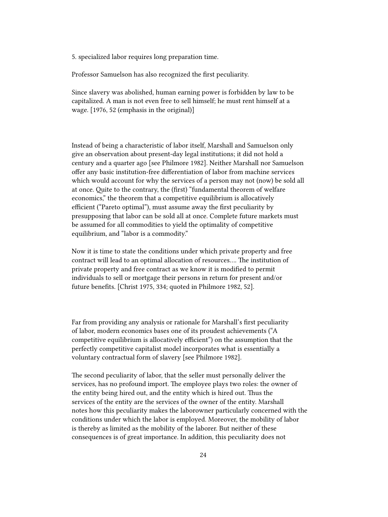5. specialized labor requires long preparation time.

Professor Samuelson has also recognized the first peculiarity.

Since slavery was abolished, human earning power is forbidden by law to be capitalized. A man is not even free to sell himself; he must rent himself at a wage. [1976, 52 (emphasis in the original)]

Instead of being a characteristic of labor itself, Marshall and Samuelson only give an observation about present-day legal institutions; it did not hold a century and a quarter ago [see Philmore 1982]. Neither Marshall nor Samuelson offer any basic institution-free differentiation of labor from machine services which would account for why the services of a person may not (now) be sold all at once. Quite to the contrary, the (first) "fundamental theorem of welfare economics," the theorem that a competitive equilibrium is allocatively efficient ("Pareto optimal"), must assume away the first peculiarity by presupposing that labor can be sold all at once. Complete future markets must be assumed for all commodities to yield the optimality of competitive equilibrium, and "labor is a commodity."

Now it is time to state the conditions under which private property and free contract will lead to an optimal allocation of resources…. The institution of private property and free contract as we know it is modified to permit individuals to sell or mortgage their persons in return for present and/or future benefits. [Christ 1975, 334; quoted in Philmore 1982, 52].

Far from providing any analysis or rationale for Marshall's first peculiarity of labor, modern economics bases one of its proudest achievements ("A competitive equilibrium is allocatively efficient") on the assumption that the perfectly competitive capitalist model incorporates what is essentially a voluntary contractual form of slavery [see Philmore 1982].

The second peculiarity of labor, that the seller must personally deliver the services, has no profound import. The employee plays two roles: the owner of the entity being hired out, and the entity which is hired out. Thus the services of the entity are the services of the owner of the entity. Marshall notes how this peculiarity makes the laborowner particularly concerned with the conditions under which the labor is employed. Moreover, the mobility of labor is thereby as limited as the mobility of the laborer. But neither of these consequences is of great importance. In addition, this peculiarity does not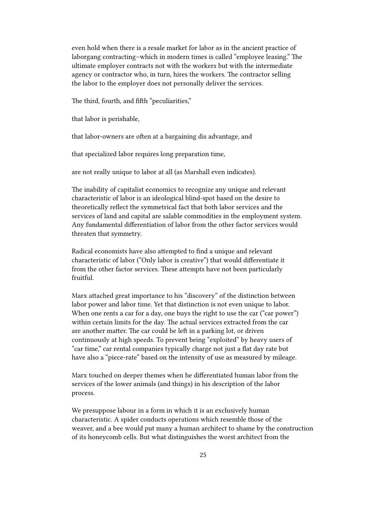even hold when there is a resale market for labor as in the ancient practice of laborgang contracting–which in modern times is called "employee leasing." The ultimate employer contracts not with the workers but with the intermediate agency or contractor who, in turn, hires the workers. The contractor selling the labor to the employer does not personally deliver the services.

The third, fourth, and fifth "peculiarities,"

that labor is perishable,

that labor-owners are often at a bargaining dis advantage, and

that specialized labor requires long preparation time,

are not really unique to labor at all (as Marshall even indicates).

The inability of capitalist economics to recognize any unique and relevant characteristic of labor is an ideological blind-spot based on the desire to theoretically reflect the symmetrical fact that both labor services and the services of land and capital are salable commodities in the employment system. Any fundamental differentiation of labor from the other factor services would threaten that symmetry.

Radical economists have also attempted to find a unique and relevant characteristic of labor ("Only labor is creative") that would differentiate it from the other factor services. These attempts have not been particularly fruitful.

Marx attached great importance to his "discovery" of the distinction between labor power and labor time. Yet that distinction is not even unique to labor. When one rents a car for a day, one buys the right to use the car ("car power") within certain limits for the day. The actual services extracted from the car are another matter. The car could be left in a parking lot, or driven continuously at high speeds. To prevent being "exploited" by heavy users of "car time," car rental companies typically charge not just a flat day rate but have also a "piece-rate" based on the intensity of use as measured by mileage.

Marx touched on deeper themes when he differentiated human labor from the services of the lower animals (and things) in his description of the labor process.

We presuppose labour in a form in which it is an exclusively human characteristic. A spider conducts operations which resemble those of the weaver, and a bee would put many a human architect to shame by the construction of its honeycomb cells. But what distinguishes the worst architect from the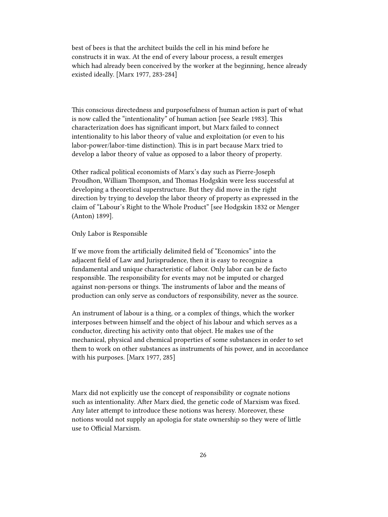best of bees is that the architect builds the cell in his mind before he constructs it in wax. At the end of every labour process, a result emerges which had already been conceived by the worker at the beginning, hence already existed ideally. [Marx 1977, 283-284]

This conscious directedness and purposefulness of human action is part of what is now called the "intentionality" of human action [see Searle 1983]. This characterization does has significant import, but Marx failed to connect intentionality to his labor theory of value and exploitation (or even to his labor-power/labor-time distinction). This is in part because Marx tried to develop a labor theory of value as opposed to a labor theory of property.

Other radical political economists of Marx's day such as Pierre-Joseph Proudhon, William Thompson, and Thomas Hodgskin were less successful at developing a theoretical superstructure. But they did move in the right direction by trying to develop the labor theory of property as expressed in the claim of "Labour's Right to the Whole Product" [see Hodgskin 1832 or Menger (Anton) 1899].

## Only Labor is Responsible

If we move from the artificially delimited field of "Economics" into the adjacent field of Law and Jurisprudence, then it is easy to recognize a fundamental and unique characteristic of labor. Only labor can be de facto responsible. The responsibility for events may not be imputed or charged against non-persons or things. The instruments of labor and the means of production can only serve as conductors of responsibility, never as the source.

An instrument of labour is a thing, or a complex of things, which the worker interposes between himself and the object of his labour and which serves as a conductor, directing his activity onto that object. He makes use of the mechanical, physical and chemical properties of some substances in order to set them to work on other substances as instruments of his power, and in accordance with his purposes. [Marx 1977, 285]

Marx did not explicitly use the concept of responsibility or cognate notions such as intentionality. After Marx died, the genetic code of Marxism was fixed. Any later attempt to introduce these notions was heresy. Moreover, these notions would not supply an apologia for state ownership so they were of little use to Official Marxism.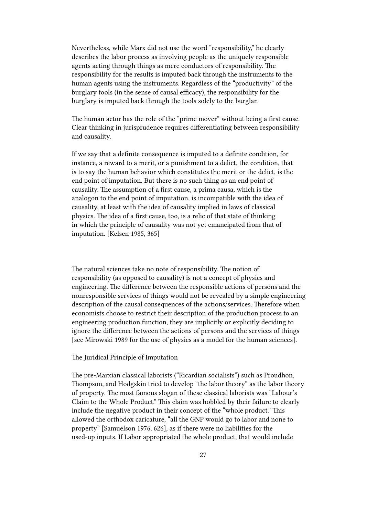Nevertheless, while Marx did not use the word "responsibility," he clearly describes the labor process as involving people as the uniquely responsible agents acting through things as mere conductors of responsibility. The responsibility for the results is imputed back through the instruments to the human agents using the instruments. Regardless of the "productivity" of the burglary tools (in the sense of causal efficacy), the responsibility for the burglary is imputed back through the tools solely to the burglar.

The human actor has the role of the "prime mover" without being a first cause. Clear thinking in jurisprudence requires differentiating between responsibility and causality.

If we say that a definite consequence is imputed to a definite condition, for instance, a reward to a merit, or a punishment to a delict, the condition, that is to say the human behavior which constitutes the merit or the delict, is the end point of imputation. But there is no such thing as an end point of causality. The assumption of a first cause, a prima causa, which is the analogon to the end point of imputation, is incompatible with the idea of causality, at least with the idea of causality implied in laws of classical physics. The idea of a first cause, too, is a relic of that state of thinking in which the principle of causality was not yet emancipated from that of imputation. [Kelsen 1985, 365]

The natural sciences take no note of responsibility. The notion of responsibility (as opposed to causality) is not a concept of physics and engineering. The difference between the responsible actions of persons and the nonresponsible services of things would not be revealed by a simple engineering description of the causal consequences of the actions/services. Therefore when economists choose to restrict their description of the production process to an engineering production function, they are implicitly or explicitly deciding to ignore the difference between the actions of persons and the services of things [see Mirowski 1989 for the use of physics as a model for the human sciences].

#### The Juridical Principle of Imputation

The pre-Marxian classical laborists ("Ricardian socialists") such as Proudhon, Thompson, and Hodgskin tried to develop "the labor theory" as the labor theory of property. The most famous slogan of these classical laborists was "Labour's Claim to the Whole Product." This claim was hobbled by their failure to clearly include the negative product in their concept of the "whole product." This allowed the orthodox caricature, "all the GNP would go to labor and none to property" [Samuelson 1976, 626], as if there were no liabilities for the used-up inputs. If Labor appropriated the whole product, that would include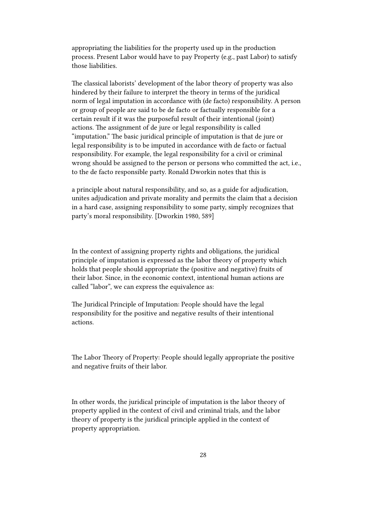appropriating the liabilities for the property used up in the production process. Present Labor would have to pay Property (e.g., past Labor) to satisfy those liabilities.

The classical laborists' development of the labor theory of property was also hindered by their failure to interpret the theory in terms of the juridical norm of legal imputation in accordance with (de facto) responsibility. A person or group of people are said to be de facto or factually responsible for a certain result if it was the purposeful result of their intentional (joint) actions. The assignment of de jure or legal responsibility is called "imputation." The basic juridical principle of imputation is that de jure or legal responsibility is to be imputed in accordance with de facto or factual responsibility. For example, the legal responsibility for a civil or criminal wrong should be assigned to the person or persons who committed the act, i.e., to the de facto responsible party. Ronald Dworkin notes that this is

a principle about natural responsibility, and so, as a guide for adjudication, unites adjudication and private morality and permits the claim that a decision in a hard case, assigning responsibility to some party, simply recognizes that party's moral responsibility. [Dworkin 1980, 589]

In the context of assigning property rights and obligations, the juridical principle of imputation is expressed as the labor theory of property which holds that people should appropriate the (positive and negative) fruits of their labor. Since, in the economic context, intentional human actions are called "labor", we can express the equivalence as:

The Juridical Principle of Imputation: People should have the legal responsibility for the positive and negative results of their intentional actions.

The Labor Theory of Property: People should legally appropriate the positive and negative fruits of their labor.

In other words, the juridical principle of imputation is the labor theory of property applied in the context of civil and criminal trials, and the labor theory of property is the juridical principle applied in the context of property appropriation.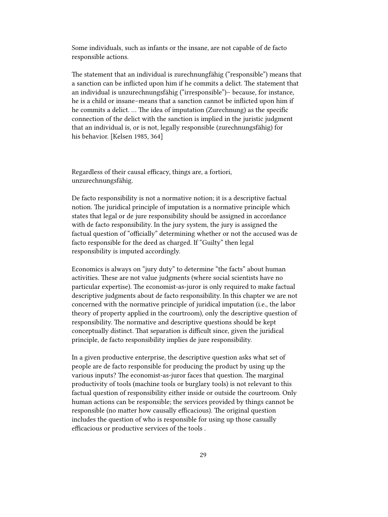Some individuals, such as infants or the insane, are not capable of de facto responsible actions.

The statement that an individual is zurechnungfähig ("responsible") means that a sanction can be inflicted upon him if he commits a delict. The statement that an individual is unzurechnungsfähig ("irresponsible")– because, for instance, he is a child or insane–means that a sanction cannot be inflicted upon him if he commits a delict. … The idea of imputation (Zurechnung) as the specific connection of the delict with the sanction is implied in the juristic judgment that an individual is, or is not, legally responsible (zurechnungsfähig) for his behavior. [Kelsen 1985, 364]

Regardless of their causal efficacy, things are, a fortiori, unzurechnungsfähig.

De facto responsibility is not a normative notion; it is a descriptive factual notion. The juridical principle of imputation is a normative principle which states that legal or de jure responsibility should be assigned in accordance with de facto responsibility. In the jury system, the jury is assigned the factual question of "officially" determining whether or not the accused was de facto responsible for the deed as charged. If "Guilty" then legal responsibility is imputed accordingly.

Economics is always on "jury duty" to determine "the facts" about human activities. These are not value judgments (where social scientists have no particular expertise). The economist-as-juror is only required to make factual descriptive judgments about de facto responsibility. In this chapter we are not concerned with the normative principle of juridical imputation (i.e., the labor theory of property applied in the courtroom), only the descriptive question of responsibility. The normative and descriptive questions should be kept conceptually distinct. That separation is difficult since, given the juridical principle, de facto responsibility implies de jure responsibility.

In a given productive enterprise, the descriptive question asks what set of people are de facto responsible for producing the product by using up the various inputs? The economist-as-juror faces that question. The marginal productivity of tools (machine tools or burglary tools) is not relevant to this factual question of responsibility either inside or outside the courtroom. Only human actions can be responsible; the services provided by things cannot be responsible (no matter how causally efficacious). The original question includes the question of who is responsible for using up those casually efficacious or productive services of the tools .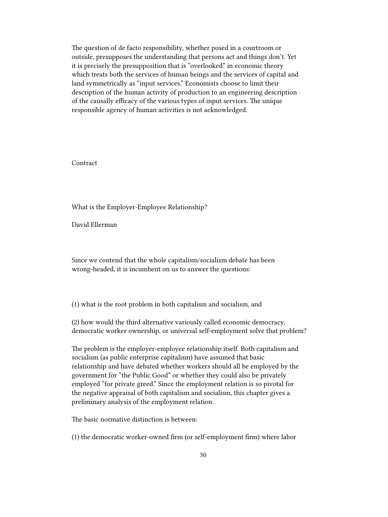The question of de facto responsibility, whether posed in a courtroom or outside, presupposes the understanding that persons act and things don't. Yet it is precisely the presupposition that is "overlooked" in economic theory which treats both the services of human beings and the services of capital and land symmetrically as "input services." Economists choose to limit their description of the human activity of production to an engineering description of the causally efficacy of the various types of input services. The unique responsible agency of human activities is not acknowledged.

Contract

What is the Employer-Employee Relationship?

David Ellerman

Since we contend that the whole capitalism/socialism debate has been wrong-headed, it is incumbent on us to answer the questions:

(1) what is the root problem in both capitalism and socialism, and

(2) how would the third alternative variously called economic democracy, democratic worker ownership, or universal self-employment solve that problem?

The problem is the employer-employee relationship itself. Both capitalism and socialism (as public enterprise capitalism) have assumed that basic relationship and have debated whether workers should all be employed by the government for "the Public Good" or whether they could also be privately employed "for private greed." Since the employment relation is so pivotal for the negative appraisal of both capitalism and socialism, this chapter gives a preliminary analysis of the employment relation.

The basic normative distinction is between:

(1) the democratic worker-owned firm (or self-employment firm) where labor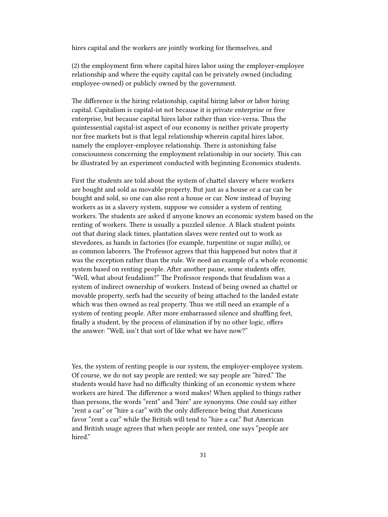hires capital and the workers are jointly working for themselves, and

(2) the employment firm where capital hires labor using the employer-employee relationship and where the equity capital can be privately owned (including employee-owned) or publicly owned by the government.

The difference is the hiring relationship, capital hiring labor or labor hiring capital. Capitalism is capital-ist not because it is private enterprise or free enterprise, but because capital hires labor rather than vice-versa. Thus the quintessential capital-ist aspect of our economy is neither private property nor free markets but is that legal relationship wherein capital hires labor, namely the employer-employee relationship. There is astonishing false consciousness concerning the employment relationship in our society. This can be illustrated by an experiment conducted with beginning Economics students.

First the students are told about the system of chattel slavery where workers are bought and sold as movable property. But just as a house or a car can be bought and sold, so one can also rent a house or car. Now instead of buying workers as in a slavery system, suppose we consider a system of renting workers. The students are asked if anyone knows an economic system based on the renting of workers. There is usually a puzzled silence. A Black student points out that during slack times, plantation slaves were rented out to work as stevedores, as hands in factories (for example, turpentine or sugar mills), or as common laborers. The Professor agrees that this happened but notes that it was the exception rather than the rule. We need an example of a whole economic system based on renting people. After another pause, some students offer, "Well, what about feudalism?" The Professor responds that feudalism was a system of indirect ownership of workers. Instead of being owned as chattel or movable property, serfs had the security of being attached to the landed estate which was then owned as real property. Thus we still need an example of a system of renting people. After more embarrassed silence and shuffling feet, finally a student, by the process of elimination if by no other logic, offers the answer: "Well, isn't that sort of like what we have now?"

Yes, the system of renting people is our system, the employer-employee system. Of course, we do not say people are rented; we say people are "hired." The students would have had no difficulty thinking of an economic system where workers are hired. The difference a word makes! When applied to things rather than persons, the words "rent" and "hire" are synonyms. One could say either "rent a car" or "hire a car" with the only difference being that Americans favor "rent a car" while the British will tend to "hire a car." But American and British usage agrees that when people are rented, one says "people are hired"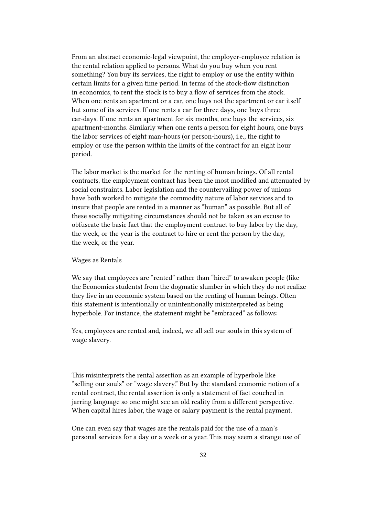From an abstract economic-legal viewpoint, the employer-employee relation is the rental relation applied to persons. What do you buy when you rent something? You buy its services, the right to employ or use the entity within certain limits for a given time period. In terms of the stock-flow distinction in economics, to rent the stock is to buy a flow of services from the stock. When one rents an apartment or a car, one buys not the apartment or car itself but some of its services. If one rents a car for three days, one buys three car-days. If one rents an apartment for six months, one buys the services, six apartment-months. Similarly when one rents a person for eight hours, one buys the labor services of eight man-hours (or person-hours), i.e., the right to employ or use the person within the limits of the contract for an eight hour period.

The labor market is the market for the renting of human beings. Of all rental contracts, the employment contract has been the most modified and attenuated by social constraints. Labor legislation and the countervailing power of unions have both worked to mitigate the commodity nature of labor services and to insure that people are rented in a manner as "human" as possible. But all of these socially mitigating circumstances should not be taken as an excuse to obfuscate the basic fact that the employment contract to buy labor by the day, the week, or the year is the contract to hire or rent the person by the day, the week, or the year.

#### Wages as Rentals

We say that employees are "rented" rather than "hired" to awaken people (like the Economics students) from the dogmatic slumber in which they do not realize they live in an economic system based on the renting of human beings. Often this statement is intentionally or unintentionally misinterpreted as being hyperbole. For instance, the statement might be "embraced" as follows:

Yes, employees are rented and, indeed, we all sell our souls in this system of wage slavery.

This misinterprets the rental assertion as an example of hyperbole like "selling our souls" or "wage slavery." But by the standard economic notion of a rental contract, the rental assertion is only a statement of fact couched in jarring language so one might see an old reality from a different perspective. When capital hires labor, the wage or salary payment is the rental payment.

One can even say that wages are the rentals paid for the use of a man's personal services for a day or a week or a year. This may seem a strange use of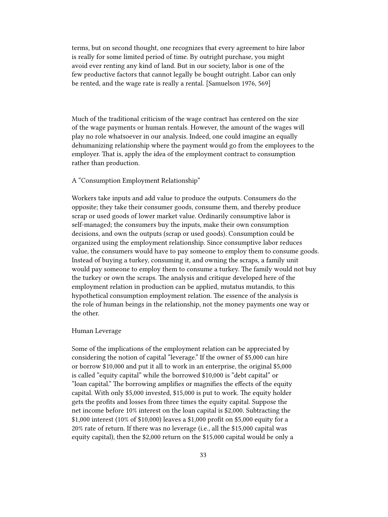terms, but on second thought, one recognizes that every agreement to hire labor is really for some limited period of time. By outright purchase, you might avoid ever renting any kind of land. But in our society, labor is one of the few productive factors that cannot legally be bought outright. Labor can only be rented, and the wage rate is really a rental. [Samuelson 1976, 569]

Much of the traditional criticism of the wage contract has centered on the size of the wage payments or human rentals. However, the amount of the wages will play no role whatsoever in our analysis. Indeed, one could imagine an equally dehumanizing relationship where the payment would go from the employees to the employer. That is, apply the idea of the employment contract to consumption rather than production.

#### A "Consumption Employment Relationship"

Workers take inputs and add value to produce the outputs. Consumers do the opposite; they take their consumer goods, consume them, and thereby produce scrap or used goods of lower market value. Ordinarily consumptive labor is self-managed; the consumers buy the inputs, make their own consumption decisions, and own the outputs (scrap or used goods). Consumption could be organized using the employment relationship. Since consumptive labor reduces value, the consumers would have to pay someone to employ them to consume goods. Instead of buying a turkey, consuming it, and owning the scraps, a family unit would pay someone to employ them to consume a turkey. The family would not buy the turkey or own the scraps. The analysis and critique developed here of the employment relation in production can be applied, mutatus mutandis, to this hypothetical consumption employment relation. The essence of the analysis is the role of human beings in the relationship, not the money payments one way or the other.

## Human Leverage

Some of the implications of the employment relation can be appreciated by considering the notion of capital "leverage." If the owner of \$5,000 can hire or borrow \$10,000 and put it all to work in an enterprise, the original \$5,000 is called "equity capital" while the borrowed \$10,000 is "debt capital" or "loan capital." The borrowing amplifies or magnifies the effects of the equity capital. With only \$5,000 invested, \$15,000 is put to work. The equity holder gets the profits and losses from three times the equity capital. Suppose the net income before 10% interest on the loan capital is \$2,000. Subtracting the \$1,000 interest (10% of \$10,000) leaves a \$1,000 profit on \$5,000 equity for a 20% rate of return. If there was no leverage (i.e., all the \$15,000 capital was equity capital), then the \$2,000 return on the \$15,000 capital would be only a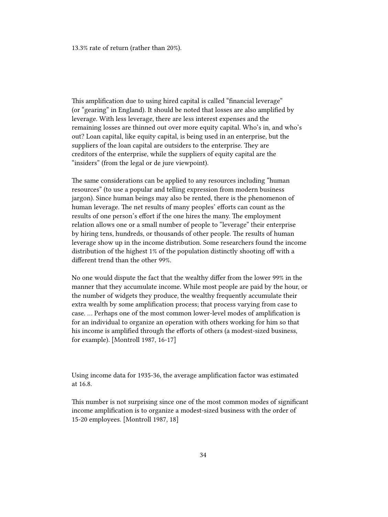13.3% rate of return (rather than 20%).

This amplification due to using hired capital is called "financial leverage" (or "gearing" in England). It should be noted that losses are also amplified by leverage. With less leverage, there are less interest expenses and the remaining losses are thinned out over more equity capital. Who's in, and who's out? Loan capital, like equity capital, is being used in an enterprise, but the suppliers of the loan capital are outsiders to the enterprise. They are creditors of the enterprise, while the suppliers of equity capital are the "insiders" (from the legal or de jure viewpoint).

The same considerations can be applied to any resources including "human resources" (to use a popular and telling expression from modern business jargon). Since human beings may also be rented, there is the phenomenon of human leverage. The net results of many peoples' efforts can count as the results of one person's effort if the one hires the many. The employment relation allows one or a small number of people to "leverage" their enterprise by hiring tens, hundreds, or thousands of other people. The results of human leverage show up in the income distribution. Some researchers found the income distribution of the highest 1% of the population distinctly shooting off with a different trend than the other 99%.

No one would dispute the fact that the wealthy differ from the lower 99% in the manner that they accumulate income. While most people are paid by the hour, or the number of widgets they produce, the wealthy frequently accumulate their extra wealth by some amplification process; that process varying from case to case. … Perhaps one of the most common lower-level modes of amplification is for an individual to organize an operation with others working for him so that his income is amplified through the efforts of others (a modest-sized business, for example). [Montroll 1987, 16-17]

Using income data for 1935-36, the average amplification factor was estimated at 16.8.

This number is not surprising since one of the most common modes of significant income amplification is to organize a modest-sized business with the order of 15-20 employees. [Montroll 1987, 18]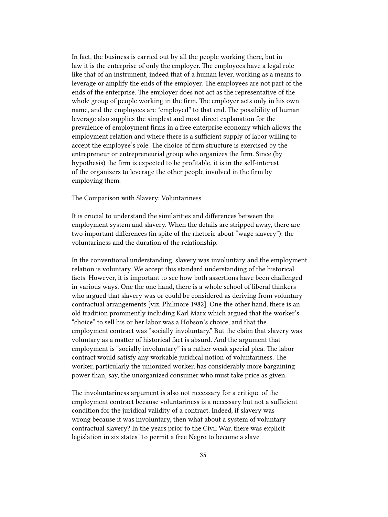In fact, the business is carried out by all the people working there, but in law it is the enterprise of only the employer. The employees have a legal role like that of an instrument, indeed that of a human lever, working as a means to leverage or amplify the ends of the employer. The employees are not part of the ends of the enterprise. The employer does not act as the representative of the whole group of people working in the firm. The employer acts only in his own name, and the employees are "employed" to that end. The possibility of human leverage also supplies the simplest and most direct explanation for the prevalence of employment firms in a free enterprise economy which allows the employment relation and where there is a sufficient supply of labor willing to accept the employee's role. The choice of firm structure is exercised by the entrepreneur or entrepreneurial group who organizes the firm. Since (by hypothesis) the firm is expected to be profitable, it is in the self-interest of the organizers to leverage the other people involved in the firm by employing them.

## The Comparison with Slavery: Voluntariness

It is crucial to understand the similarities and differences between the employment system and slavery. When the details are stripped away, there are two important differences (in spite of the rhetoric about "wage slavery"): the voluntariness and the duration of the relationship.

In the conventional understanding, slavery was involuntary and the employment relation is voluntary. We accept this standard understanding of the historical facts. However, it is important to see how both assertions have been challenged in various ways. One the one hand, there is a whole school of liberal thinkers who argued that slavery was or could be considered as deriving from voluntary contractual arrangements [viz. Philmore 1982]. One the other hand, there is an old tradition prominently including Karl Marx which argued that the worker's "choice" to sell his or her labor was a Hobson's choice, and that the employment contract was "socially involuntary." But the claim that slavery was voluntary as a matter of historical fact is absurd. And the argument that employment is "socially involuntary" is a rather weak special plea. The labor contract would satisfy any workable juridical notion of voluntariness. The worker, particularly the unionized worker, has considerably more bargaining power than, say, the unorganized consumer who must take price as given.

The involuntariness argument is also not necessary for a critique of the employment contract because voluntariness is a necessary but not a sufficient condition for the juridical validity of a contract. Indeed, if slavery was wrong because it was involuntary, then what about a system of voluntary contractual slavery? In the years prior to the Civil War, there was explicit legislation in six states "to permit a free Negro to become a slave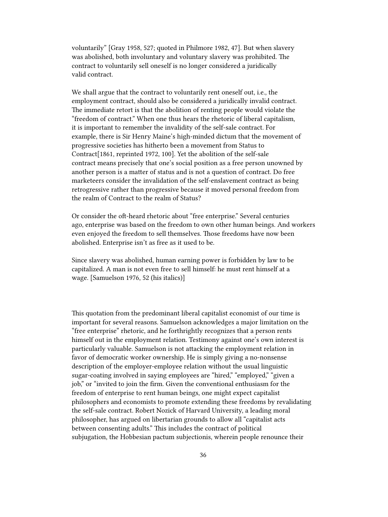voluntarily" [Gray 1958, 527; quoted in Philmore 1982, 47]. But when slavery was abolished, both involuntary and voluntary slavery was prohibited. The contract to voluntarily sell oneself is no longer considered a juridically valid contract.

We shall argue that the contract to voluntarily rent oneself out, i.e., the employment contract, should also be considered a juridically invalid contract. The immediate retort is that the abolition of renting people would violate the "freedom of contract." When one thus hears the rhetoric of liberal capitalism, it is important to remember the invalidity of the self-sale contract. For example, there is Sir Henry Maine's high-minded dictum that the movement of progressive societies has hitherto been a movement from Status to Contract[1861, reprinted 1972, 100]. Yet the abolition of the self-sale contract means precisely that one's social position as a free person unowned by another person is a matter of status and is not a question of contract. Do free marketeers consider the invalidation of the self-enslavement contract as being retrogressive rather than progressive because it moved personal freedom from the realm of Contract to the realm of Status?

Or consider the oft-heard rhetoric about "free enterprise." Several centuries ago, enterprise was based on the freedom to own other human beings. And workers even enjoyed the freedom to sell themselves. Those freedoms have now been abolished. Enterprise isn't as free as it used to be.

Since slavery was abolished, human earning power is forbidden by law to be capitalized. A man is not even free to sell himself: he must rent himself at a wage. [Samuelson 1976, 52 (his italics)]

This quotation from the predominant liberal capitalist economist of our time is important for several reasons. Samuelson acknowledges a major limitation on the "free enterprise" rhetoric, and he forthrightly recognizes that a person rents himself out in the employment relation. Testimony against one's own interest is particularly valuable. Samuelson is not attacking the employment relation in favor of democratic worker ownership. He is simply giving a no-nonsense description of the employer-employee relation without the usual linguistic sugar-coating involved in saying employees are "hired," "employed," "given a job," or "invited to join the firm. Given the conventional enthusiasm for the freedom of enterprise to rent human beings, one might expect capitalist philosophers and economists to promote extending these freedoms by revalidating the self-sale contract. Robert Nozick of Harvard University, a leading moral philosopher, has argued on libertarian grounds to allow all "capitalist acts between consenting adults." This includes the contract of political subjugation, the Hobbesian pactum subjectionis, wherein people renounce their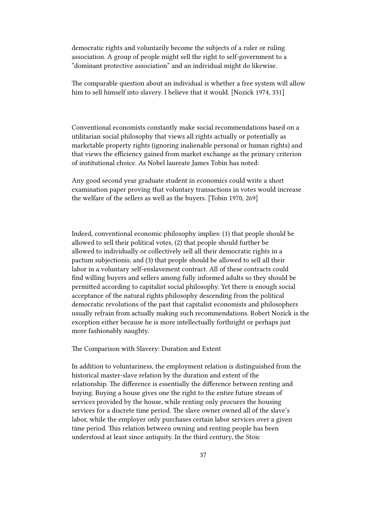democratic rights and voluntarily become the subjects of a ruler or ruling association. A group of people might sell the right to self-government to a "dominant protective association" and an individual might do likewise.

The comparable question about an individual is whether a free system will allow him to sell himself into slavery. I believe that it would. [Nozick 1974, 331]

Conventional economists constantly make social recommendations based on a utilitarian social philosophy that views all rights actually or potentially as marketable property rights (ignoring inalienable personal or human rights) and that views the efficiency gained from market exchange as the primary criterion of institutional choice. As Nobel laureate James Tobin has noted:

Any good second year graduate student in economics could write a short examination paper proving that voluntary transactions in votes would increase the welfare of the sellers as well as the buyers. [Tobin 1970, 269]

Indeed, conventional economic philosophy implies: (1) that people should be allowed to sell their political votes, (2) that people should further be allowed to individually or collectively sell all their democratic rights in a pactum subjectionis, and (3) that people should be allowed to sell all their labor in a voluntary self-enslavement contract. All of these contracts could find willing buyers and sellers among fully informed adults so they should be permitted according to capitalist social philosophy. Yet there is enough social acceptance of the natural rights philosophy descending from the political democratic revolutions of the past that capitalist economists and philosophers usually refrain from actually making such recommendations. Robert Nozick is the exception either because he is more intellectually forthright or perhaps just more fashionably naughty.

The Comparison with Slavery: Duration and Extent

In addition to voluntariness, the employment relation is distinguished from the historical master-slave relation by the duration and extent of the relationship. The difference is essentially the difference between renting and buying. Buying a house gives one the right to the entire future stream of services provided by the house, while renting only procures the housing services for a discrete time period. The slave owner owned all of the slave's labor, while the employer only purchases certain labor services over a given time period. This relation between owning and renting people has been understood at least since antiquity. In the third century, the Stoic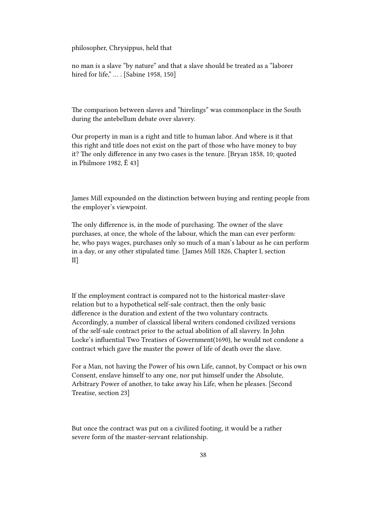philosopher, Chrysippus, held that

no man is a slave "by nature" and that a slave should be treated as a "laborer hired for life," … . [Sabine 1958, 150]

The comparison between slaves and "hirelings" was commonplace in the South during the antebellum debate over slavery.

Our property in man is a right and title to human labor. And where is it that this right and title does not exist on the part of those who have money to buy it? The only difference in any two cases is the tenure. [Bryan 1858, 10; quoted in Philmore 1982, Ê 43]

James Mill expounded on the distinction between buying and renting people from the employer's viewpoint.

The only difference is, in the mode of purchasing. The owner of the slave purchases, at once, the whole of the labour, which the man can ever perform: he, who pays wages, purchases only so much of a man's labour as he can perform in a day, or any other stipulated time. [James Mill 1826, Chapter I, section II]

If the employment contract is compared not to the historical master-slave relation but to a hypothetical self-sale contract, then the only basic difference is the duration and extent of the two voluntary contracts. Accordingly, a number of classical liberal writers condoned civilized versions of the self-sale contract prior to the actual abolition of all slavery. In John Locke's influential Two Treatises of Government(1690), he would not condone a contract which gave the master the power of life of death over the slave.

For a Man, not having the Power of his own Life, cannot, by Compact or his own Consent, enslave himself to any one, nor put himself under the Absolute, Arbitrary Power of another, to take away his Life, when he pleases. [Second Treatise, section 23]

But once the contract was put on a civilized footing, it would be a rather severe form of the master-servant relationship.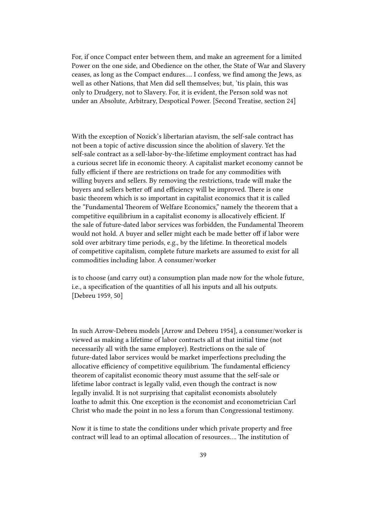For, if once Compact enter between them, and make an agreement for a limited Power on the one side, and Obedience on the other, the State of War and Slavery ceases, as long as the Compact endures…. I confess, we find among the Jews, as well as other Nations, that Men did sell themselves; but, 'tis plain, this was only to Drudgery, not to Slavery. For, it is evident, the Person sold was not under an Absolute, Arbitrary, Despotical Power. [Second Treatise, section 24]

With the exception of Nozick's libertarian atavism, the self-sale contract has not been a topic of active discussion since the abolition of slavery. Yet the self-sale contract as a sell-labor-by-the-lifetime employment contract has had a curious secret life in economic theory. A capitalist market economy cannot be fully efficient if there are restrictions on trade for any commodities with willing buyers and sellers. By removing the restrictions, trade will make the buyers and sellers better off and efficiency will be improved. There is one basic theorem which is so important in capitalist economics that it is called the "Fundamental Theorem of Welfare Economics," namely the theorem that a competitive equilibrium in a capitalist economy is allocatively efficient. If the sale of future-dated labor services was forbidden, the Fundamental Theorem would not hold. A buyer and seller might each be made better off if labor were sold over arbitrary time periods, e.g., by the lifetime. In theoretical models of competitive capitalism, complete future markets are assumed to exist for all commodities including labor. A consumer/worker

is to choose (and carry out) a consumption plan made now for the whole future, i.e., a specification of the quantities of all his inputs and all his outputs. [Debreu 1959, 50]

In such Arrow-Debreu models [Arrow and Debreu 1954], a consumer/worker is viewed as making a lifetime of labor contracts all at that initial time (not necessarily all with the same employer). Restrictions on the sale of future-dated labor services would be market imperfections precluding the allocative efficiency of competitive equilibrium. The fundamental efficiency theorem of capitalist economic theory must assume that the self-sale or lifetime labor contract is legally valid, even though the contract is now legally invalid. It is not surprising that capitalist economists absolutely loathe to admit this. One exception is the economist and econometrician Carl Christ who made the point in no less a forum than Congressional testimony.

Now it is time to state the conditions under which private property and free contract will lead to an optimal allocation of resources…. The institution of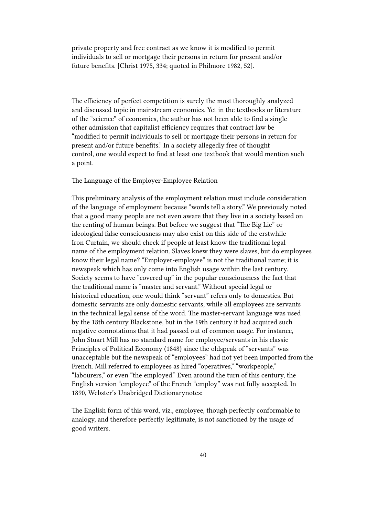private property and free contract as we know it is modified to permit individuals to sell or mortgage their persons in return for present and/or future benefits. [Christ 1975, 334; quoted in Philmore 1982, 52].

The efficiency of perfect competition is surely the most thoroughly analyzed and discussed topic in mainstream economics. Yet in the textbooks or literature of the "science" of economics, the author has not been able to find a single other admission that capitalist efficiency requires that contract law be "modified to permit individuals to sell or mortgage their persons in return for present and/or future benefits." In a society allegedly free of thought control, one would expect to find at least one textbook that would mention such a point.

The Language of the Employer-Employee Relation

This preliminary analysis of the employment relation must include consideration of the language of employment because "words tell a story." We previously noted that a good many people are not even aware that they live in a society based on the renting of human beings. But before we suggest that "The Big Lie" or ideological false consciousness may also exist on this side of the erstwhile Iron Curtain, we should check if people at least know the traditional legal name of the employment relation. Slaves knew they were slaves, but do employees know their legal name? "Employer-employee" is not the traditional name; it is newspeak which has only come into English usage within the last century. Society seems to have "covered up" in the popular consciousness the fact that the traditional name is "master and servant." Without special legal or historical education, one would think "servant" refers only to domestics. But domestic servants are only domestic servants, while all employees are servants in the technical legal sense of the word. The master-servant language was used by the 18th century Blackstone, but in the 19th century it had acquired such negative connotations that it had passed out of common usage. For instance, John Stuart Mill has no standard name for employee/servants in his classic Principles of Political Economy (1848) since the oldspeak of "servants" was unacceptable but the newspeak of "employees" had not yet been imported from the French. Mill referred to employees as hired "operatives," "workpeople," "labourers," or even "the employed." Even around the turn of this century, the English version "employee" of the French "employ" was not fully accepted. In 1890, Webster's Unabridged Dictionarynotes:

The English form of this word, viz., employee, though perfectly conformable to analogy, and therefore perfectly legitimate, is not sanctioned by the usage of good writers.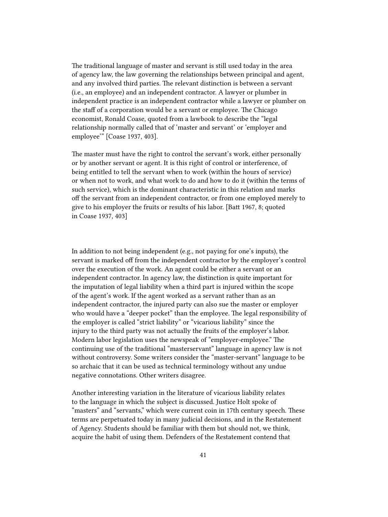The traditional language of master and servant is still used today in the area of agency law, the law governing the relationships between principal and agent, and any involved third parties. The relevant distinction is between a servant (i.e., an employee) and an independent contractor. A lawyer or plumber in independent practice is an independent contractor while a lawyer or plumber on the staff of a corporation would be a servant or employee. The Chicago economist, Ronald Coase, quoted from a lawbook to describe the "legal relationship normally called that of 'master and servant' or 'employer and employee'" [Coase 1937, 403].

The master must have the right to control the servant's work, either personally or by another servant or agent. It is this right of control or interference, of being entitled to tell the servant when to work (within the hours of service) or when not to work, and what work to do and how to do it (within the terms of such service), which is the dominant characteristic in this relation and marks off the servant from an independent contractor, or from one employed merely to give to his employer the fruits or results of his labor. [Batt 1967, 8; quoted in Coase 1937, 403]

In addition to not being independent (e.g., not paying for one's inputs), the servant is marked off from the independent contractor by the employer's control over the execution of the work. An agent could be either a servant or an independent contractor. In agency law, the distinction is quite important for the imputation of legal liability when a third part is injured within the scope of the agent's work. If the agent worked as a servant rather than as an independent contractor, the injured party can also sue the master or employer who would have a "deeper pocket" than the employee. The legal responsibility of the employer is called "strict liability" or "vicarious liability" since the injury to the third party was not actually the fruits of the employer's labor. Modern labor legislation uses the newspeak of "employer-employee." The continuing use of the traditional "masterservant" language in agency law is not without controversy. Some writers consider the "master-servant" language to be so archaic that it can be used as technical terminology without any undue negative connotations. Other writers disagree.

Another interesting variation in the literature of vicarious liability relates to the language in which the subject is discussed. Justice Holt spoke of "masters" and "servants," which were current coin in 17th century speech. These terms are perpetuated today in many judicial decisions, and in the Restatement of Agency. Students should be familiar with them but should not, we think, acquire the habit of using them. Defenders of the Restatement contend that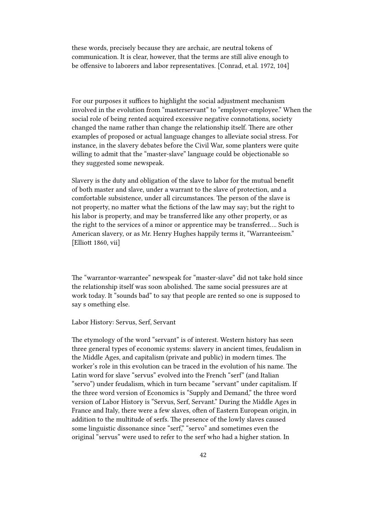these words, precisely because they are archaic, are neutral tokens of communication. It is clear, however, that the terms are still alive enough to be offensive to laborers and labor representatives. [Conrad, et.al. 1972, 104]

For our purposes it suffices to highlight the social adjustment mechanism involved in the evolution from "masterservant" to "employer-employee." When the social role of being rented acquired excessive negative connotations, society changed the name rather than change the relationship itself. There are other examples of proposed or actual language changes to alleviate social stress. For instance, in the slavery debates before the Civil War, some planters were quite willing to admit that the "master-slave" language could be objectionable so they suggested some newspeak.

Slavery is the duty and obligation of the slave to labor for the mutual benefit of both master and slave, under a warrant to the slave of protection, and a comfortable subsistence, under all circumstances. The person of the slave is not property, no matter what the fictions of the law may say; but the right to his labor is property, and may be transferred like any other property, or as the right to the services of a minor or apprentice may be transferred…. Such is American slavery, or as Mr. Henry Hughes happily terms it, "Warranteeism." [Elliott 1860, vii]

The "warrantor-warrantee" newspeak for "master-slave" did not take hold since the relationship itself was soon abolished. The same social pressures are at work today. It "sounds bad" to say that people are rented so one is supposed to say s omething else.

Labor History: Servus, Serf, Servant

The etymology of the word "servant" is of interest. Western history has seen three general types of economic systems: slavery in ancient times, feudalism in the Middle Ages, and capitalism (private and public) in modern times. The worker's role in this evolution can be traced in the evolution of his name. The Latin word for slave "servus" evolved into the French "serf" (and Italian "servo") under feudalism, which in turn became "servant" under capitalism. If the three word version of Economics is "Supply and Demand," the three word version of Labor History is "Servus, Serf, Servant." During the Middle Ages in France and Italy, there were a few slaves, often of Eastern European origin, in addition to the multitude of serfs. The presence of the lowly slaves caused some linguistic dissonance since "serf," "servo" and sometimes even the original "servus" were used to refer to the serf who had a higher station. In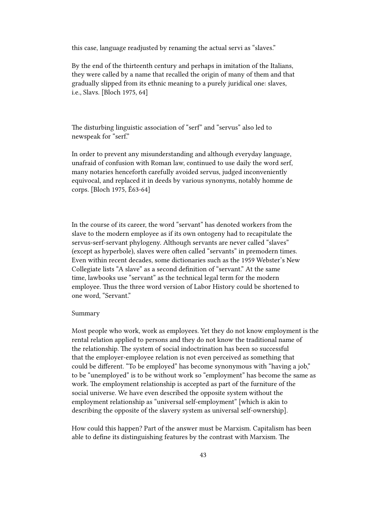this case, language readjusted by renaming the actual servi as "slaves."

By the end of the thirteenth century and perhaps in imitation of the Italians, they were called by a name that recalled the origin of many of them and that gradually slipped from its ethnic meaning to a purely juridical one: slaves, i.e., Slavs. [Bloch 1975, 64]

The disturbing linguistic association of "serf" and "servus" also led to newspeak for "serf."

In order to prevent any misunderstanding and although everyday language, unafraid of confusion with Roman law, continued to use daily the word serf, many notaries henceforth carefully avoided servus, judged inconveniently equivocal, and replaced it in deeds by various synonyms, notably homme de corps. [Bloch 1975, Ê63-64]

In the course of its career, the word "servant" has denoted workers from the slave to the modern employee as if its own ontogeny had to recapitulate the servus-serf-servant phylogeny. Although servants are never called "slaves" (except as hyperbole), slaves were often called "servants" in premodern times. Even within recent decades, some dictionaries such as the 1959 Webster's New Collegiate lists "A slave" as a second definition of "servant." At the same time, lawbooks use "servant" as the technical legal term for the modern employee. Thus the three word version of Labor History could be shortened to one word, "Servant."

#### Summary

Most people who work, work as employees. Yet they do not know employment is the rental relation applied to persons and they do not know the traditional name of the relationship. The system of social indoctrination has been so successful that the employer-employee relation is not even perceived as something that could be different. "To be employed" has become synonymous with "having a job," to be "unemployed" is to be without work so "employment" has become the same as work. The employment relationship is accepted as part of the furniture of the social universe. We have even described the opposite system without the employment relationship as "universal self-employment" [which is akin to describing the opposite of the slavery system as universal self-ownership].

How could this happen? Part of the answer must be Marxism. Capitalism has been able to define its distinguishing features by the contrast with Marxism. The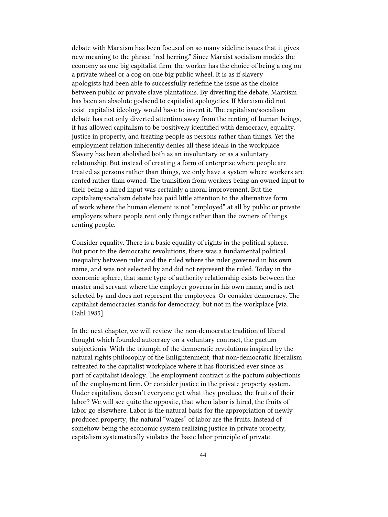debate with Marxism has been focused on so many sideline issues that it gives new meaning to the phrase "red herring." Since Marxist socialism models the economy as one big capitalist firm, the worker has the choice of being a cog on a private wheel or a cog on one big public wheel. It is as if slavery apologists had been able to successfully redefine the issue as the choice between public or private slave plantations. By diverting the debate, Marxism has been an absolute godsend to capitalist apologetics. If Marxism did not exist, capitalist ideology would have to invent it. The capitalism/socialism debate has not only diverted attention away from the renting of human beings, it has allowed capitalism to be positively identified with democracy, equality, justice in property, and treating people as persons rather than things. Yet the employment relation inherently denies all these ideals in the workplace. Slavery has been abolished both as an involuntary or as a voluntary relationship. But instead of creating a form of enterprise where people are treated as persons rather than things, we only have a system where workers are rented rather than owned. The transition from workers being an owned input to their being a hired input was certainly a moral improvement. But the capitalism/socialism debate has paid little attention to the alternative form of work where the human element is not "employed" at all by public or private employers where people rent only things rather than the owners of things renting people.

Consider equality. There is a basic equality of rights in the political sphere. But prior to the democratic revolutions, there was a fundamental political inequality between ruler and the ruled where the ruler governed in his own name, and was not selected by and did not represent the ruled. Today in the economic sphere, that same type of authority relationship exists between the master and servant where the employer governs in his own name, and is not selected by and does not represent the employees. Or consider democracy. The capitalist democracies stands for democracy, but not in the workplace [viz. Dahl 1985].

In the next chapter, we will review the non-democratic tradition of liberal thought which founded autocracy on a voluntary contract, the pactum subjectionis. With the triumph of the democratic revolutions inspired by the natural rights philosophy of the Enlightenment, that non-democratic liberalism retreated to the capitalist workplace where it has flourished ever since as part of capitalist ideology. The employment contract is the pactum subjectionis of the employment firm. Or consider justice in the private property system. Under capitalism, doesn't everyone get what they produce, the fruits of their labor? We will see quite the opposite, that when labor is hired, the fruits of labor go elsewhere. Labor is the natural basis for the appropriation of newly produced property; the natural "wages" of labor are the fruits. Instead of somehow being the economic system realizing justice in private property, capitalism systematically violates the basic labor principle of private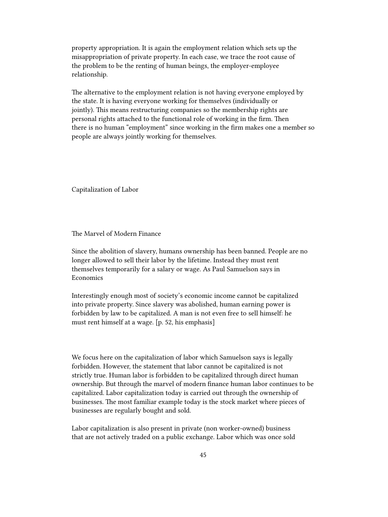property appropriation. It is again the employment relation which sets up the misappropriation of private property. In each case, we trace the root cause of the problem to be the renting of human beings, the employer-employee relationship.

The alternative to the employment relation is not having everyone employed by the state. It is having everyone working for themselves (individually or jointly). This means restructuring companies so the membership rights are personal rights attached to the functional role of working in the firm. Then there is no human "employment" since working in the firm makes one a member so people are always jointly working for themselves.

Capitalization of Labor

The Marvel of Modern Finance

Since the abolition of slavery, humans ownership has been banned. People are no longer allowed to sell their labor by the lifetime. Instead they must rent themselves temporarily for a salary or wage. As Paul Samuelson says in Economics

Interestingly enough most of society's economic income cannot be capitalized into private property. Since slavery was abolished, human earning power is forbidden by law to be capitalized. A man is not even free to sell himself: he must rent himself at a wage. [p. 52, his emphasis]

We focus here on the capitalization of labor which Samuelson says is legally forbidden. However, the statement that labor cannot be capitalized is not strictly true. Human labor is forbidden to be capitalized through direct human ownership. But through the marvel of modern finance human labor continues to be capitalized. Labor capitalization today is carried out through the ownership of businesses. The most familiar example today is the stock market where pieces of businesses are regularly bought and sold.

Labor capitalization is also present in private (non worker-owned) business that are not actively traded on a public exchange. Labor which was once sold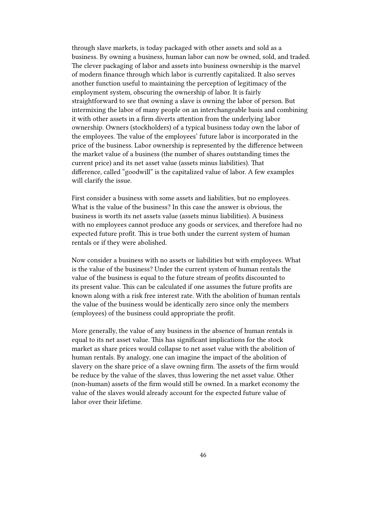through slave markets, is today packaged with other assets and sold as a business. By owning a business, human labor can now be owned, sold, and traded. The clever packaging of labor and assets into business ownership is the marvel of modern finance through which labor is currently capitalized. It also serves another function useful to maintaining the perception of legitimacy of the employment system, obscuring the ownership of labor. It is fairly straightforward to see that owning a slave is owning the labor of person. But intermixing the labor of many people on an interchangeable basis and combining it with other assets in a firm diverts attention from the underlying labor ownership. Owners (stockholders) of a typical business today own the labor of the employees. The value of the employees' future labor is incorporated in the price of the business. Labor ownership is represented by the difference between the market value of a business (the number of shares outstanding times the current price) and its net asset value (assets minus liabilities). That difference, called "goodwill" is the capitalized value of labor. A few examples will clarify the issue.

First consider a business with some assets and liabilities, but no employees. What is the value of the business? In this case the answer is obvious, the business is worth its net assets value (assets minus liabilities). A business with no employees cannot produce any goods or services, and therefore had no expected future profit. This is true both under the current system of human rentals or if they were abolished.

Now consider a business with no assets or liabilities but with employees. What is the value of the business? Under the current system of human rentals the value of the business is equal to the future stream of profits discounted to its present value. This can be calculated if one assumes the future profits are known along with a risk free interest rate. With the abolition of human rentals the value of the business would be identically zero since only the members (employees) of the business could appropriate the profit.

More generally, the value of any business in the absence of human rentals is equal to its net asset value. This has significant implications for the stock market as share prices would collapse to net asset value with the abolition of human rentals. By analogy, one can imagine the impact of the abolition of slavery on the share price of a slave owning firm. The assets of the firm would be reduce by the value of the slaves, thus lowering the net asset value. Other (non-human) assets of the firm would still be owned. In a market economy the value of the slaves would already account for the expected future value of labor over their lifetime.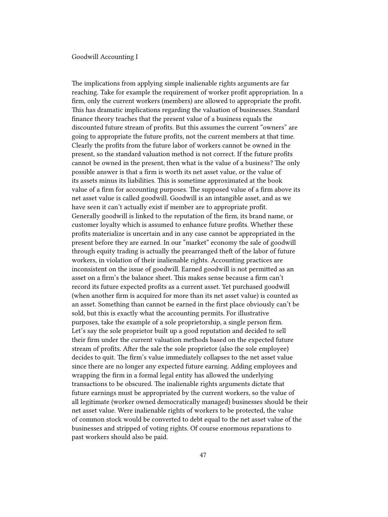#### Goodwill Accounting I

The implications from applying simple inalienable rights arguments are far reaching. Take for example the requirement of worker profit appropriation. In a firm, only the current workers (members) are allowed to appropriate the profit. This has dramatic implications regarding the valuation of businesses. Standard finance theory teaches that the present value of a business equals the discounted future stream of profits. But this assumes the current "owners" are going to appropriate the future profits, not the current members at that time. Clearly the profits from the future labor of workers cannot be owned in the present, so the standard valuation method is not correct. If the future profits cannot be owned in the present, then what is the value of a business? The only possible answer is that a firm is worth its net asset value, or the value of its assets minus its liabilities. This is sometime approximated at the book value of a firm for accounting purposes. The supposed value of a firm above its net asset value is called goodwill. Goodwill is an intangible asset, and as we have seen it can't actually exist if member are to appropriate profit. Generally goodwill is linked to the reputation of the firm, its brand name, or customer loyalty which is assumed to enhance future profits. Whether these profits materialize is uncertain and in any case cannot be appropriated in the present before they are earned. In our "market" economy the sale of goodwill through equity trading is actually the prearranged theft of the labor of future workers, in violation of their inalienable rights. Accounting practices are inconsistent on the issue of goodwill. Earned goodwill is not permitted as an asset on a firm's the balance sheet. This makes sense because a firm can't record its future expected profits as a current asset. Yet purchased goodwill (when another firm is acquired for more than its net asset value) is counted as an asset. Something than cannot be earned in the first place obviously can't be sold, but this is exactly what the accounting permits. For illustrative purposes, take the example of a sole proprietorship, a single person firm. Let's say the sole proprietor built up a good reputation and decided to sell their firm under the current valuation methods based on the expected future stream of profits. After the sale the sole proprietor (also the sole employee) decides to quit. The firm's value immediately collapses to the net asset value since there are no longer any expected future earning. Adding employees and wrapping the firm in a formal legal entity has allowed the underlying transactions to be obscured. The inalienable rights arguments dictate that future earnings must be appropriated by the current workers, so the value of all legitimate (worker owned democratically managed) businesses should be their net asset value. Were inalienable rights of workers to be protected, the value of common stock would be converted to debt equal to the net asset value of the businesses and stripped of voting rights. Of course enormous reparations to past workers should also be paid.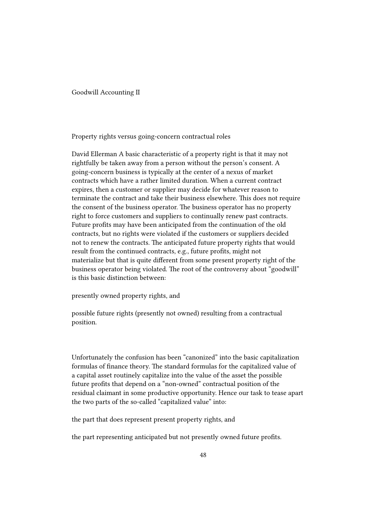Goodwill Accounting II

Property rights versus going-concern contractual roles

David Ellerman A basic characteristic of a property right is that it may not rightfully be taken away from a person without the person's consent. A going-concern business is typically at the center of a nexus of market contracts which have a rather limited duration. When a current contract expires, then a customer or supplier may decide for whatever reason to terminate the contract and take their business elsewhere. This does not require the consent of the business operator. The business operator has no property right to force customers and suppliers to continually renew past contracts. Future profits may have been anticipated from the continuation of the old contracts, but no rights were violated if the customers or suppliers decided not to renew the contracts. The anticipated future property rights that would result from the continued contracts, e.g., future profits, might not materialize but that is quite different from some present property right of the business operator being violated. The root of the controversy about "goodwill" is this basic distinction between:

presently owned property rights, and

possible future rights (presently not owned) resulting from a contractual position.

Unfortunately the confusion has been "canonized" into the basic capitalization formulas of finance theory. The standard formulas for the capitalized value of a capital asset routinely capitalize into the value of the asset the possible future profits that depend on a "non-owned" contractual position of the residual claimant in some productive opportunity. Hence our task to tease apart the two parts of the so-called "capitalized value" into:

the part that does represent present property rights, and

the part representing anticipated but not presently owned future profits.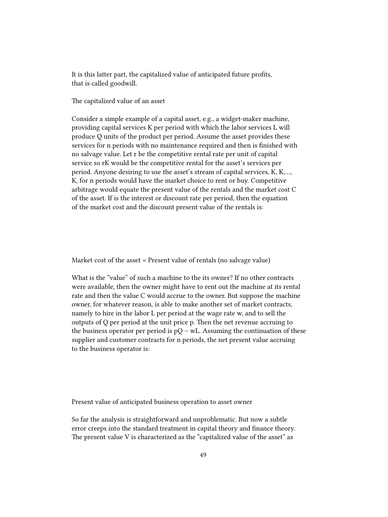It is this latter part, the capitalized value of anticipated future profits, that is called goodwill.

The capitalized value of an asset

Consider a simple example of a capital asset, e.g., a widget-maker machine, providing capital services K per period with which the labor services L will produce Q units of the product per period. Assume the asset provides these services for n periods with no maintenance required and then is finished with no salvage value. Let r be the competitive rental rate per unit of capital service so rK would be the competitive rental for the asset's services per period. Anyone desiring to use the asset's stream of capital services, K, K,…, K, for n periods would have the market choice to rent or buy. Competitive arbitrage would equate the present value of the rentals and the market cost C of the asset. If is the interest or discount rate per period, then the equation of the market cost and the discount present value of the rentals is:

Market cost of the asset = Present value of rentals (no salvage value)

What is the "value" of such a machine to the its owner? If no other contracts were available, then the owner might have to rent out the machine at its rental rate and then the value C would accrue to the owner. But suppose the machine owner, for whatever reason, is able to make another set of market contracts, namely to hire in the labor L per period at the wage rate w, and to sell the outputs of Q per period at the unit price p. Then the net revenue accruing to the business operator per period is  $pQ - wL$ . Assuming the continuation of these supplier and customer contracts for n periods, the net present value accruing to the business operator is:

Present value of anticipated business operation to asset owner

So far the analysis is straightforward and unproblematic. But now a subtle error creeps into the standard treatment in capital theory and finance theory. The present value V is characterized as the "capitalized value of the asset" as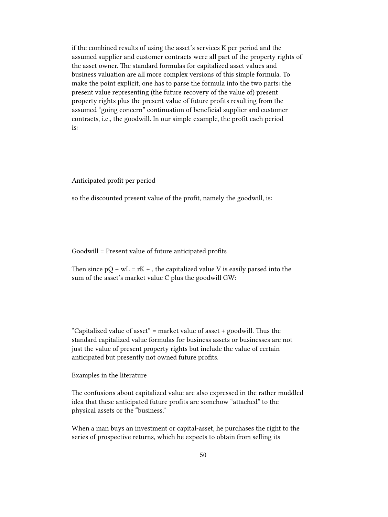if the combined results of using the asset's services K per period and the assumed supplier and customer contracts were all part of the property rights of the asset owner. The standard formulas for capitalized asset values and business valuation are all more complex versions of this simple formula. To make the point explicit, one has to parse the formula into the two parts: the present value representing (the future recovery of the value of) present property rights plus the present value of future profits resulting from the assumed "going concern" continuation of beneficial supplier and customer contracts, i.e., the goodwill. In our simple example, the profit each period is:

Anticipated profit per period

so the discounted present value of the profit, namely the goodwill, is:

Goodwill = Present value of future anticipated profits

Then since  $pQ - wL = rK +$ , the capitalized value V is easily parsed into the sum of the asset's market value C plus the goodwill GW:

"Capitalized value of asset" = market value of asset + goodwill. Thus the standard capitalized value formulas for business assets or businesses are not just the value of present property rights but include the value of certain anticipated but presently not owned future profits.

Examples in the literature

The confusions about capitalized value are also expressed in the rather muddled idea that these anticipated future profits are somehow "attached" to the physical assets or the "business."

When a man buys an investment or capital-asset, he purchases the right to the series of prospective returns, which he expects to obtain from selling its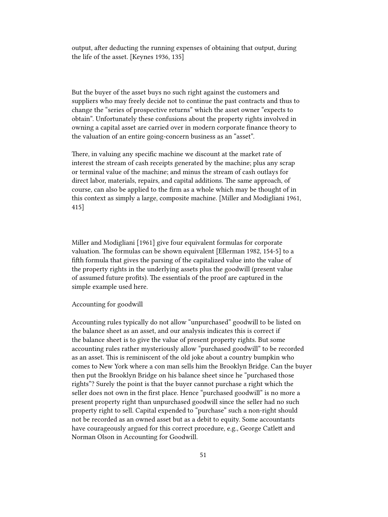output, after deducting the running expenses of obtaining that output, during the life of the asset. [Keynes 1936, 135]

But the buyer of the asset buys no such right against the customers and suppliers who may freely decide not to continue the past contracts and thus to change the "series of prospective returns" which the asset owner "expects to obtain". Unfortunately these confusions about the property rights involved in owning a capital asset are carried over in modern corporate finance theory to the valuation of an entire going-concern business as an "asset".

There, in valuing any specific machine we discount at the market rate of interest the stream of cash receipts generated by the machine; plus any scrap or terminal value of the machine; and minus the stream of cash outlays for direct labor, materials, repairs, and capital additions. The same approach, of course, can also be applied to the firm as a whole which may be thought of in this context as simply a large, composite machine. [Miller and Modigliani 1961, 415]

Miller and Modigliani [1961] give four equivalent formulas for corporate valuation. The formulas can be shown equivalent [Ellerman 1982, 154-5] to a fifth formula that gives the parsing of the capitalized value into the value of the property rights in the underlying assets plus the goodwill (present value of assumed future profits). The essentials of the proof are captured in the simple example used here.

Accounting for goodwill

Accounting rules typically do not allow "unpurchased" goodwill to be listed on the balance sheet as an asset, and our analysis indicates this is correct if the balance sheet is to give the value of present property rights. But some accounting rules rather mysteriously allow "purchased goodwill" to be recorded as an asset. This is reminiscent of the old joke about a country bumpkin who comes to New York where a con man sells him the Brooklyn Bridge. Can the buyer then put the Brooklyn Bridge on his balance sheet since he "purchased those rights"? Surely the point is that the buyer cannot purchase a right which the seller does not own in the first place. Hence "purchased goodwill" is no more a present property right than unpurchased goodwill since the seller had no such property right to sell. Capital expended to "purchase" such a non-right should not be recorded as an owned asset but as a debit to equity. Some accountants have courageously argued for this correct procedure, e.g., George Catlett and Norman Olson in Accounting for Goodwill.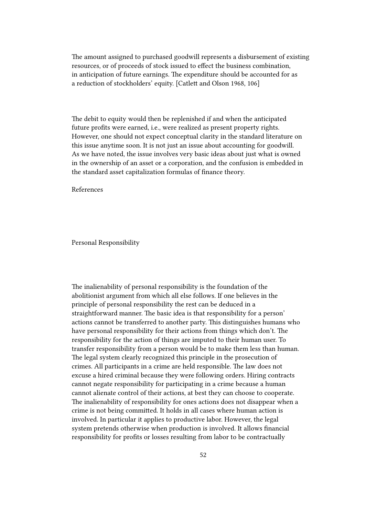The amount assigned to purchased goodwill represents a disbursement of existing resources, or of proceeds of stock issued to effect the business combination, in anticipation of future earnings. The expenditure should be accounted for as a reduction of stockholders' equity. [Catlett and Olson 1968, 106]

The debit to equity would then be replenished if and when the anticipated future profits were earned, i.e., were realized as present property rights. However, one should not expect conceptual clarity in the standard literature on this issue anytime soon. It is not just an issue about accounting for goodwill. As we have noted, the issue involves very basic ideas about just what is owned in the ownership of an asset or a corporation, and the confusion is embedded in the standard asset capitalization formulas of finance theory.

References

Personal Responsibility

The inalienability of personal responsibility is the foundation of the abolitionist argument from which all else follows. If one believes in the principle of personal responsibility the rest can be deduced in a straightforward manner. The basic idea is that responsibility for a person' actions cannot be transferred to another party. This distinguishes humans who have personal responsibility for their actions from things which don't. The responsibility for the action of things are imputed to their human user. To transfer responsibility from a person would be to make them less than human. The legal system clearly recognized this principle in the prosecution of crimes. All participants in a crime are held responsible. The law does not excuse a hired criminal because they were following orders. Hiring contracts cannot negate responsibility for participating in a crime because a human cannot alienate control of their actions, at best they can choose to cooperate. The inalienability of responsibility for ones actions does not disappear when a crime is not being committed. It holds in all cases where human action is involved. In particular it applies to productive labor. However, the legal system pretends otherwise when production is involved. It allows financial responsibility for profits or losses resulting from labor to be contractually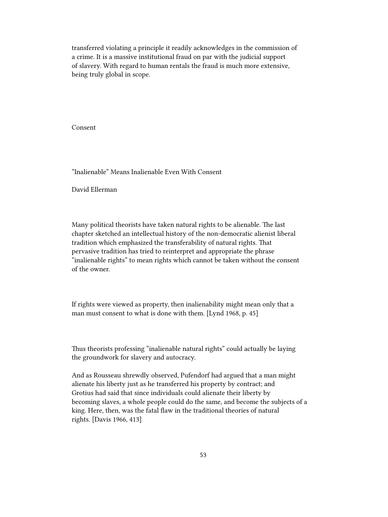transferred violating a principle it readily acknowledges in the commission of a crime. It is a massive institutional fraud on par with the judicial support of slavery. With regard to human rentals the fraud is much more extensive, being truly global in scope.

Consent

"Inalienable" Means Inalienable Even With Consent

David Ellerman

Many political theorists have taken natural rights to be alienable. The last chapter sketched an intellectual history of the non-democratic alienist liberal tradition which emphasized the transferability of natural rights. That pervasive tradition has tried to reinterpret and appropriate the phrase "inalienable rights" to mean rights which cannot be taken without the consent of the owner.

If rights were viewed as property, then inalienability might mean only that a man must consent to what is done with them. [Lynd 1968, p. 45]

Thus theorists professing "inalienable natural rights" could actually be laying the groundwork for slavery and autocracy.

And as Rousseau shrewdly observed, Pufendorf had argued that a man might alienate his liberty just as he transferred his property by contract; and Grotius had said that since individuals could alienate their liberty by becoming slaves, a whole people could do the same, and become the subjects of a king. Here, then, was the fatal flaw in the traditional theories of natural rights. [Davis 1966, 413]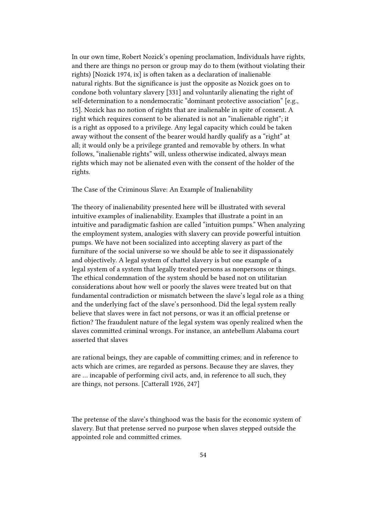In our own time, Robert Nozick's opening proclamation, Individuals have rights, and there are things no person or group may do to them (without violating their rights) [Nozick 1974, ix] is often taken as a declaration of inalienable natural rights. But the significance is just the opposite as Nozick goes on to condone both voluntary slavery [331] and voluntarily alienating the right of self-determination to a nondemocratic "dominant protective association" [e.g., 15]. Nozick has no notion of rights that are inalienable in spite of consent. A right which requires consent to be alienated is not an "inalienable right"; it is a right as opposed to a privilege. Any legal capacity which could be taken away without the consent of the bearer would hardly qualify as a "right" at all; it would only be a privilege granted and removable by others. In what follows, "inalienable rights" will, unless otherwise indicated, always mean rights which may not be alienated even with the consent of the holder of the rights.

The Case of the Criminous Slave: An Example of Inalienability

The theory of inalienability presented here will be illustrated with several intuitive examples of inalienability. Examples that illustrate a point in an intuitive and paradigmatic fashion are called "intuition pumps." When analyzing the employment system, analogies with slavery can provide powerful intuition pumps. We have not been socialized into accepting slavery as part of the furniture of the social universe so we should be able to see it dispassionately and objectively. A legal system of chattel slavery is but one example of a legal system of a system that legally treated persons as nonpersons or things. The ethical condemnation of the system should be based not on utilitarian considerations about how well or poorly the slaves were treated but on that fundamental contradiction or mismatch between the slave's legal role as a thing and the underlying fact of the slave's personhood. Did the legal system really believe that slaves were in fact not persons, or was it an official pretense or fiction? The fraudulent nature of the legal system was openly realized when the slaves committed criminal wrongs. For instance, an antebellum Alabama court asserted that slaves

are rational beings, they are capable of committing crimes; and in reference to acts which are crimes, are regarded as persons. Because they are slaves, they are … incapable of performing civil acts, and, in reference to all such, they are things, not persons. [Catterall 1926, 247]

The pretense of the slave's thinghood was the basis for the economic system of slavery. But that pretense served no purpose when slaves stepped outside the appointed role and committed crimes.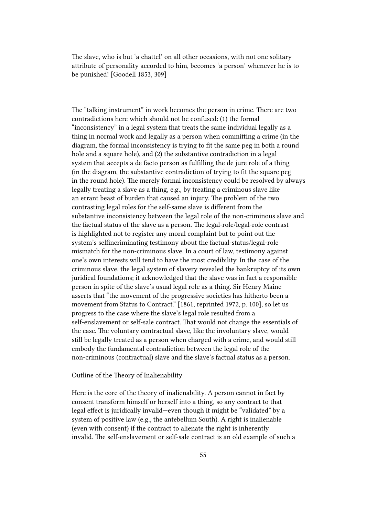The slave, who is but 'a chattel' on all other occasions, with not one solitary attribute of personality accorded to him, becomes 'a person' whenever he is to be punished! [Goodell 1853, 309]

The "talking instrument" in work becomes the person in crime. There are two contradictions here which should not be confused: (1) the formal "inconsistency" in a legal system that treats the same individual legally as a thing in normal work and legally as a person when committing a crime (in the diagram, the formal inconsistency is trying to fit the same peg in both a round hole and a square hole), and (2) the substantive contradiction in a legal system that accepts a de facto person as fulfilling the de jure role of a thing (in the diagram, the substantive contradiction of trying to fit the square peg in the round hole). The merely formal inconsistency could be resolved by always legally treating a slave as a thing, e.g., by treating a criminous slave like an errant beast of burden that caused an injury. The problem of the two contrasting legal roles for the self-same slave is different from the substantive inconsistency between the legal role of the non-criminous slave and the factual status of the slave as a person. The legal-role/legal-role contrast is highlighted not to register any moral complaint but to point out the system's selfincriminating testimony about the factual-status/legal-role mismatch for the non-criminous slave. In a court of law, testimony against one's own interests will tend to have the most credibility. In the case of the criminous slave, the legal system of slavery revealed the bankruptcy of its own juridical foundations; it acknowledged that the slave was in fact a responsible person in spite of the slave's usual legal role as a thing. Sir Henry Maine asserts that "the movement of the progressive societies has hitherto been a movement from Status to Contract." [1861, reprinted 1972, p. 100], so let us progress to the case where the slave's legal role resulted from a self-enslavement or self-sale contract. That would not change the essentials of the case. The voluntary contractual slave, like the involuntary slave, would still be legally treated as a person when charged with a crime, and would still embody the fundamental contradiction between the legal role of the non-criminous (contractual) slave and the slave's factual status as a person.

#### Outline of the Theory of Inalienability

Here is the core of the theory of inalienability. A person cannot in fact by consent transform himself or herself into a thing, so any contract to that legal effect is juridically invalid—even though it might be "validated" by a system of positive law (e.g., the antebellum South). A right is inalienable (even with consent) if the contract to alienate the right is inherently invalid. The self-enslavement or self-sale contract is an old example of such a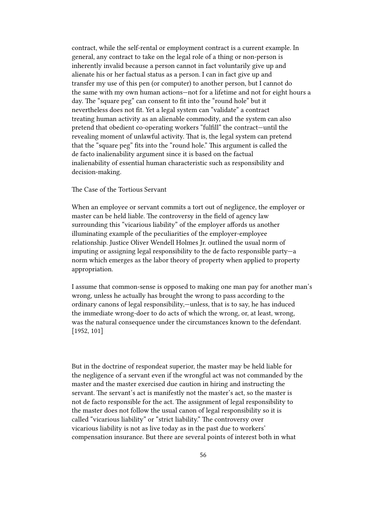contract, while the self-rental or employment contract is a current example. In general, any contract to take on the legal role of a thing or non-person is inherently invalid because a person cannot in fact voluntarily give up and alienate his or her factual status as a person. I can in fact give up and transfer my use of this pen (or computer) to another person, but I cannot do the same with my own human actions—not for a lifetime and not for eight hours a day. The "square peg" can consent to fit into the "round hole" but it nevertheless does not fit. Yet a legal system can "validate" a contract treating human activity as an alienable commodity, and the system can also pretend that obedient co-operating workers "fulfill" the contract—until the revealing moment of unlawful activity. That is, the legal system can pretend that the "square peg" fits into the "round hole." This argument is called the de facto inalienability argument since it is based on the factual inalienability of essential human characteristic such as responsibility and decision-making.

## The Case of the Tortious Servant

When an employee or servant commits a tort out of negligence, the employer or master can be held liable. The controversy in the field of agency law surrounding this "vicarious liability" of the employer affords us another illuminating example of the peculiarities of the employer-employee relationship. Justice Oliver Wendell Holmes Jr. outlined the usual norm of imputing or assigning legal responsibility to the de facto responsible party—a norm which emerges as the labor theory of property when applied to property appropriation.

I assume that common-sense is opposed to making one man pay for another man's wrong, unless he actually has brought the wrong to pass according to the ordinary canons of legal responsibility,—unless, that is to say, he has induced the immediate wrong-doer to do acts of which the wrong, or, at least, wrong, was the natural consequence under the circumstances known to the defendant. [1952, 101]

But in the doctrine of respondeat superior, the master may be held liable for the negligence of a servant even if the wrongful act was not commanded by the master and the master exercised due caution in hiring and instructing the servant. The servant's act is manifestly not the master's act, so the master is not de facto responsible for the act. The assignment of legal responsibility to the master does not follow the usual canon of legal responsibility so it is called "vicarious liability" or "strict liability." The controversy over vicarious liability is not as live today as in the past due to workers' compensation insurance. But there are several points of interest both in what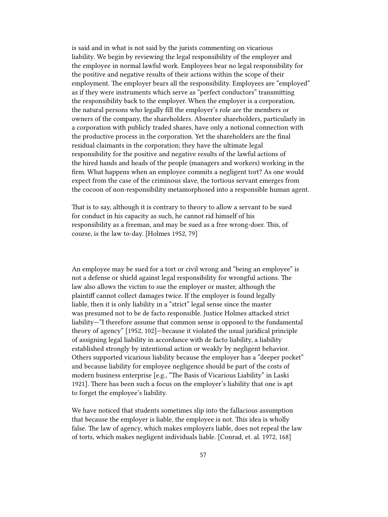is said and in what is not said by the jurists commenting on vicarious liability. We begin by reviewing the legal responsibility of the employer and the employee in normal lawful work. Employees bear no legal responsibility for the positive and negative results of their actions within the scope of their employment. The employer bears all the responsibility. Employees are "employed" as if they were instruments which serve as "perfect conductors" transmitting the responsibility back to the employer. When the employer is a corporation, the natural persons who legally fill the employer's role are the members or owners of the company, the shareholders. Absentee shareholders, particularly in a corporation with publicly traded shares, have only a notional connection with the productive process in the corporation. Yet the shareholders are the final residual claimants in the corporation; they have the ultimate legal responsibility for the positive and negative results of the lawful actions of the hired hands and heads of the people (managers and workers) working in the firm. What happens when an employee commits a negligent tort? As one would expect from the case of the criminous slave, the tortious servant emerges from the cocoon of non-responsibility metamorphosed into a responsible human agent.

That is to say, although it is contrary to theory to allow a servant to be sued for conduct in his capacity as such, he cannot rid himself of his responsibility as a freeman, and may be sued as a free wrong-doer. This, of course, is the law to-day. [Holmes 1952, 79]

An employee may be sued for a tort or civil wrong and "being an employee" is not a defense or shield against legal responsibility for wrongful actions. The law also allows the victim to sue the employer or master, although the plaintiff cannot collect damages twice. If the employer is found legally liable, then it is only liability in a "strict" legal sense since the master was presumed not to be de facto responsible. Justice Holmes attacked strict liability—"I therefore assume that common sense is opposed to the fundamental theory of agency" [1952, 102]—because it violated the usual juridical principle of assigning legal liability in accordance with de facto liability, a liability established strongly by intentional action or weakly by negligent behavior. Others supported vicarious liability because the employer has a "deeper pocket" and because liability for employee negligence should be part of the costs of modern business enterprise [e.g., "The Basis of Vicarious Liability" in Laski 1921]. There has been such a focus on the employer's liability that one is apt to forget the employee's liability.

We have noticed that students sometimes slip into the fallacious assumption that because the employer is liable, the employee is not. This idea is wholly false. The law of agency, which makes employers liable, does not repeal the law of torts, which makes negligent individuals liable. [Conrad, et. al. 1972, 168]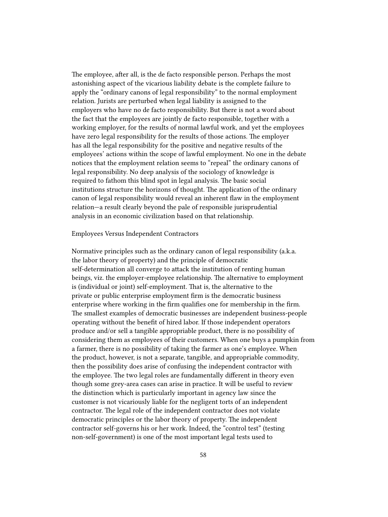The employee, after all, is the de facto responsible person. Perhaps the most astonishing aspect of the vicarious liability debate is the complete failure to apply the "ordinary canons of legal responsibility" to the normal employment relation. Jurists are perturbed when legal liability is assigned to the employers who have no de facto responsibility. But there is not a word about the fact that the employees are jointly de facto responsible, together with a working employer, for the results of normal lawful work, and yet the employees have zero legal responsibility for the results of those actions. The employer has all the legal responsibility for the positive and negative results of the employees' actions within the scope of lawful employment. No one in the debate notices that the employment relation seems to "repeal" the ordinary canons of legal responsibility. No deep analysis of the sociology of knowledge is required to fathom this blind spot in legal analysis. The basic social institutions structure the horizons of thought. The application of the ordinary canon of legal responsibility would reveal an inherent flaw in the employment relation—a result clearly beyond the pale of responsible jurisprudential analysis in an economic civilization based on that relationship.

# Employees Versus Independent Contractors

Normative principles such as the ordinary canon of legal responsibility (a.k.a. the labor theory of property) and the principle of democratic self-determination all converge to attack the institution of renting human beings, viz. the employer-employee relationship. The alternative to employment is (individual or joint) self-employment. That is, the alternative to the private or public enterprise employment firm is the democratic business enterprise where working in the firm qualifies one for membership in the firm. The smallest examples of democratic businesses are independent business-people operating without the benefit of hired labor. If those independent operators produce and/or sell a tangible appropriable product, there is no possibility of considering them as employees of their customers. When one buys a pumpkin from a farmer, there is no possibility of taking the farmer as one's employee. When the product, however, is not a separate, tangible, and appropriable commodity, then the possibility does arise of confusing the independent contractor with the employee. The two legal roles are fundamentally different in theory even though some grey-area cases can arise in practice. It will be useful to review the distinction which is particularly important in agency law since the customer is not vicariously liable for the negligent torts of an independent contractor. The legal role of the independent contractor does not violate democratic principles or the labor theory of property. The independent contractor self-governs his or her work. Indeed, the "control test" (testing non-self-government) is one of the most important legal tests used to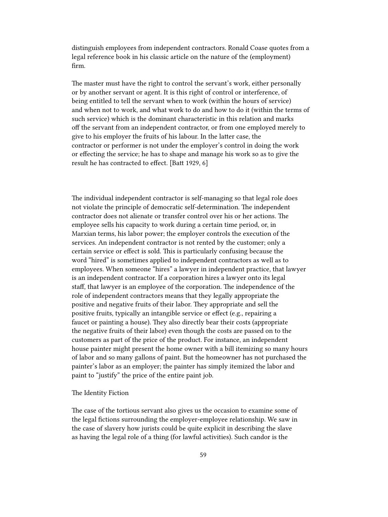distinguish employees from independent contractors. Ronald Coase quotes from a legal reference book in his classic article on the nature of the (employment) firm.

The master must have the right to control the servant's work, either personally or by another servant or agent. It is this right of control or interference, of being entitled to tell the servant when to work (within the hours of service) and when not to work, and what work to do and how to do it (within the terms of such service) which is the dominant characteristic in this relation and marks off the servant from an independent contractor, or from one employed merely to give to his employer the fruits of his labour. In the latter case, the contractor or performer is not under the employer's control in doing the work or effecting the service; he has to shape and manage his work so as to give the result he has contracted to effect. [Batt 1929, 6]

The individual independent contractor is self-managing so that legal role does not violate the principle of democratic self-determination. The independent contractor does not alienate or transfer control over his or her actions. The employee sells his capacity to work during a certain time period, or, in Marxian terms, his labor power; the employer controls the execution of the services. An independent contractor is not rented by the customer; only a certain service or effect is sold. This is particularly confusing because the word "hired" is sometimes applied to independent contractors as well as to employees. When someone "hires" a lawyer in independent practice, that lawyer is an independent contractor. If a corporation hires a lawyer onto its legal staff, that lawyer is an employee of the corporation. The independence of the role of independent contractors means that they legally appropriate the positive and negative fruits of their labor. They appropriate and sell the positive fruits, typically an intangible service or effect (e.g., repairing a faucet or painting a house). They also directly bear their costs (appropriate the negative fruits of their labor) even though the costs are passed on to the customers as part of the price of the product. For instance, an independent house painter might present the home owner with a bill itemizing so many hours of labor and so many gallons of paint. But the homeowner has not purchased the painter's labor as an employer; the painter has simply itemized the labor and paint to "justify" the price of the entire paint job.

#### The Identity Fiction

The case of the tortious servant also gives us the occasion to examine some of the legal fictions surrounding the employer-employee relationship. We saw in the case of slavery how jurists could be quite explicit in describing the slave as having the legal role of a thing (for lawful activities). Such candor is the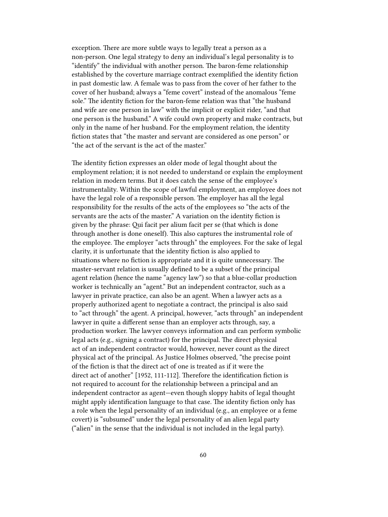exception. There are more subtle ways to legally treat a person as a non-person. One legal strategy to deny an individual's legal personality is to "identify" the individual with another person. The baron-feme relationship established by the coverture marriage contract exemplified the identity fiction in past domestic law. A female was to pass from the cover of her father to the cover of her husband; always a "feme covert" instead of the anomalous "feme sole." The identity fiction for the baron-feme relation was that "the husband and wife are one person in law" with the implicit or explicit rider, "and that one person is the husband." A wife could own property and make contracts, but only in the name of her husband. For the employment relation, the identity fiction states that "the master and servant are considered as one person" or "the act of the servant is the act of the master."

The identity fiction expresses an older mode of legal thought about the employment relation; it is not needed to understand or explain the employment relation in modern terms. But it does catch the sense of the employee's instrumentality. Within the scope of lawful employment, an employee does not have the legal role of a responsible person. The employer has all the legal responsibility for the results of the acts of the employees so "the acts of the servants are the acts of the master." A variation on the identity fiction is given by the phrase: Qui facit per alium facit per se (that which is done through another is done oneself). This also captures the instrumental role of the employee. The employer "acts through" the employees. For the sake of legal clarity, it is unfortunate that the identity fiction is also applied to situations where no fiction is appropriate and it is quite unnecessary. The master-servant relation is usually defined to be a subset of the principal agent relation (hence the name "agency law") so that a blue-collar production worker is technically an "agent." But an independent contractor, such as a lawyer in private practice, can also be an agent. When a lawyer acts as a properly authorized agent to negotiate a contract, the principal is also said to "act through" the agent. A principal, however, "acts through" an independent lawyer in quite a different sense than an employer acts through, say, a production worker. The lawyer conveys information and can perform symbolic legal acts (e.g., signing a contract) for the principal. The direct physical act of an independent contractor would, however, never count as the direct physical act of the principal. As Justice Holmes observed, "the precise point of the fiction is that the direct act of one is treated as if it were the direct act of another" [1952, 111-112]. Therefore the identification fiction is not required to account for the relationship between a principal and an independent contractor as agent—even though sloppy habits of legal thought might apply identification language to that case. The identity fiction only has a role when the legal personality of an individual (e.g., an employee or a feme covert) is "subsumed" under the legal personality of an alien legal party ("alien" in the sense that the individual is not included in the legal party).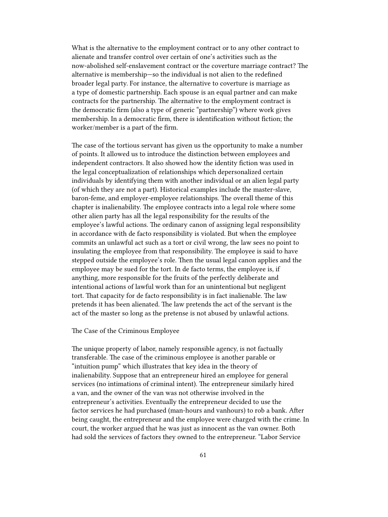What is the alternative to the employment contract or to any other contract to alienate and transfer control over certain of one's activities such as the now-abolished self-enslavement contract or the coverture marriage contract? The alternative is membership—so the individual is not alien to the redefined broader legal party. For instance, the alternative to coverture is marriage as a type of domestic partnership. Each spouse is an equal partner and can make contracts for the partnership. The alternative to the employment contract is the democratic firm (also a type of generic "partnership") where work gives membership. In a democratic firm, there is identification without fiction; the worker/member is a part of the firm.

The case of the tortious servant has given us the opportunity to make a number of points. It allowed us to introduce the distinction between employees and independent contractors. It also showed how the identity fiction was used in the legal conceptualization of relationships which depersonalized certain individuals by identifying them with another individual or an alien legal party (of which they are not a part). Historical examples include the master-slave, baron-feme, and employer-employee relationships. The overall theme of this chapter is inalienability. The employee contracts into a legal role where some other alien party has all the legal responsibility for the results of the employee's lawful actions. The ordinary canon of assigning legal responsibility in accordance with de facto responsibility is violated. But when the employee commits an unlawful act such as a tort or civil wrong, the law sees no point to insulating the employee from that responsibility. The employee is said to have stepped outside the employee's role. Then the usual legal canon applies and the employee may be sued for the tort. In de facto terms, the employee is, if anything, more responsible for the fruits of the perfectly deliberate and intentional actions of lawful work than for an unintentional but negligent tort. That capacity for de facto responsibility is in fact inalienable. The law pretends it has been alienated. The law pretends the act of the servant is the act of the master so long as the pretense is not abused by unlawful actions.

# The Case of the Criminous Employee

The unique property of labor, namely responsible agency, is not factually transferable. The case of the criminous employee is another parable or "intuition pump" which illustrates that key idea in the theory of inalienability. Suppose that an entrepreneur hired an employee for general services (no intimations of criminal intent). The entrepreneur similarly hired a van, and the owner of the van was not otherwise involved in the entrepreneur's activities. Eventually the entrepreneur decided to use the factor services he had purchased (man-hours and vanhours) to rob a bank. After being caught, the entrepreneur and the employee were charged with the crime. In court, the worker argued that he was just as innocent as the van owner. Both had sold the services of factors they owned to the entrepreneur. "Labor Service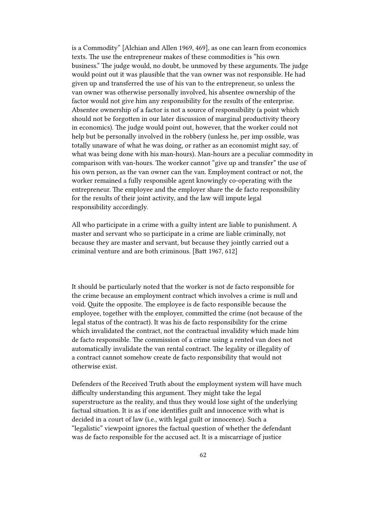is a Commodity" [Alchian and Allen 1969, 469], as one can learn from economics texts. The use the entrepreneur makes of these commodities is "his own business." The judge would, no doubt, be unmoved by these arguments. The judge would point out it was plausible that the van owner was not responsible. He had given up and transferred the use of his van to the entrepreneur, so unless the van owner was otherwise personally involved, his absentee ownership of the factor would not give him any responsibility for the results of the enterprise. Absentee ownership of a factor is not a source of responsibility (a point which should not be forgotten in our later discussion of marginal productivity theory in economics). The judge would point out, however, that the worker could not help but be personally involved in the robbery (unless he, per imp ossible, was totally unaware of what he was doing, or rather as an economist might say, of what was being done with his man-hours). Man-hours are a peculiar commodity in comparison with van-hours. The worker cannot "give up and transfer" the use of his own person, as the van owner can the van. Employment contract or not, the worker remained a fully responsible agent knowingly co-operating with the entrepreneur. The employee and the employer share the de facto responsibility for the results of their joint activity, and the law will impute legal responsibility accordingly.

All who participate in a crime with a guilty intent are liable to punishment. A master and servant who so participate in a crime are liable criminally, not because they are master and servant, but because they jointly carried out a criminal venture and are both criminous. [Batt 1967, 612]

It should be particularly noted that the worker is not de facto responsible for the crime because an employment contract which involves a crime is null and void. Quite the opposite. The employee is de facto responsible because the employee, together with the employer, committed the crime (not because of the legal status of the contract). It was his de facto responsibility for the crime which invalidated the contract, not the contractual invalidity which made him de facto responsible. The commission of a crime using a rented van does not automatically invalidate the van rental contract. The legality or illegality of a contract cannot somehow create de facto responsibility that would not otherwise exist.

Defenders of the Received Truth about the employment system will have much difficulty understanding this argument. They might take the legal superstructure as the reality, and thus they would lose sight of the underlying factual situation. It is as if one identifies guilt and innocence with what is decided in a court of law (i.e., with legal guilt or innocence). Such a "legalistic" viewpoint ignores the factual question of whether the defendant was de facto responsible for the accused act. It is a miscarriage of justice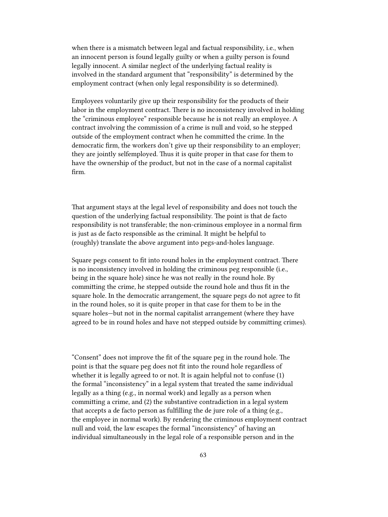when there is a mismatch between legal and factual responsibility, i.e., when an innocent person is found legally guilty or when a guilty person is found legally innocent. A similar neglect of the underlying factual reality is involved in the standard argument that "responsibility" is determined by the employment contract (when only legal responsibility is so determined).

Employees voluntarily give up their responsibility for the products of their labor in the employment contract. There is no inconsistency involved in holding the "criminous employee" responsible because he is not really an employee. A contract involving the commission of a crime is null and void, so he stepped outside of the employment contract when he committed the crime. In the democratic firm, the workers don't give up their responsibility to an employer; they are jointly selfemployed. Thus it is quite proper in that case for them to have the ownership of the product, but not in the case of a normal capitalist firm.

That argument stays at the legal level of responsibility and does not touch the question of the underlying factual responsibility. The point is that de facto responsibility is not transferable; the non-criminous employee in a normal firm is just as de facto responsible as the criminal. It might be helpful to (roughly) translate the above argument into pegs-and-holes language.

Square pegs consent to fit into round holes in the employment contract. There is no inconsistency involved in holding the criminous peg responsible (i.e., being in the square hole) since he was not really in the round hole. By committing the crime, he stepped outside the round hole and thus fit in the square hole. In the democratic arrangement, the square pegs do not agree to fit in the round holes, so it is quite proper in that case for them to be in the square holes—but not in the normal capitalist arrangement (where they have agreed to be in round holes and have not stepped outside by committing crimes).

"Consent" does not improve the fit of the square peg in the round hole. The point is that the square peg does not fit into the round hole regardless of whether it is legally agreed to or not. It is again helpful not to confuse (1) the formal "inconsistency" in a legal system that treated the same individual legally as a thing (e.g., in normal work) and legally as a person when committing a crime, and (2) the substantive contradiction in a legal system that accepts a de facto person as fulfilling the de jure role of a thing (e.g., the employee in normal work). By rendering the criminous employment contract null and void, the law escapes the formal "inconsistency" of having an individual simultaneously in the legal role of a responsible person and in the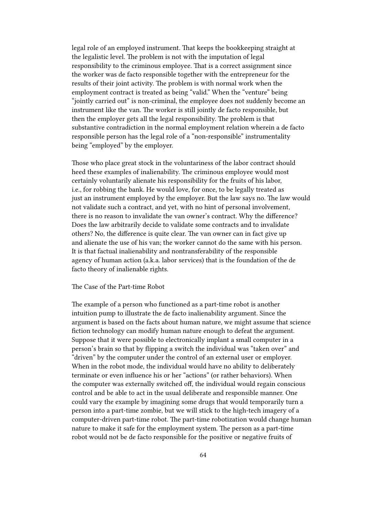legal role of an employed instrument. That keeps the bookkeeping straight at the legalistic level. The problem is not with the imputation of legal responsibility to the criminous employee. That is a correct assignment since the worker was de facto responsible together with the entrepreneur for the results of their joint activity. The problem is with normal work when the employment contract is treated as being "valid." When the "venture" being "jointly carried out" is non-criminal, the employee does not suddenly become an instrument like the van. The worker is still jointly de facto responsible, but then the employer gets all the legal responsibility. The problem is that substantive contradiction in the normal employment relation wherein a de facto responsible person has the legal role of a "non-responsible" instrumentality being "employed" by the employer.

Those who place great stock in the voluntariness of the labor contract should heed these examples of inalienability. The criminous employee would most certainly voluntarily alienate his responsibility for the fruits of his labor, i.e., for robbing the bank. He would love, for once, to be legally treated as just an instrument employed by the employer. But the law says no. The law would not validate such a contract, and yet, with no hint of personal involvement, there is no reason to invalidate the van owner's contract. Why the difference? Does the law arbitrarily decide to validate some contracts and to invalidate others? No, the difference is quite clear. The van owner can in fact give up and alienate the use of his van; the worker cannot do the same with his person. It is that factual inalienability and nontransferability of the responsible agency of human action (a.k.a. labor services) that is the foundation of the de facto theory of inalienable rights.

## The Case of the Part-time Robot

The example of a person who functioned as a part-time robot is another intuition pump to illustrate the de facto inalienability argument. Since the argument is based on the facts about human nature, we might assume that science fiction technology can modify human nature enough to defeat the argument. Suppose that it were possible to electronically implant a small computer in a person's brain so that by flipping a switch the individual was "taken over" and "driven" by the computer under the control of an external user or employer. When in the robot mode, the individual would have no ability to deliberately terminate or even influence his or her "actions" (or rather behaviors). When the computer was externally switched off, the individual would regain conscious control and be able to act in the usual deliberate and responsible manner. One could vary the example by imagining some drugs that would temporarily turn a person into a part-time zombie, but we will stick to the high-tech imagery of a computer-driven part-time robot. The part-time robotization would change human nature to make it safe for the employment system. The person as a part-time robot would not be de facto responsible for the positive or negative fruits of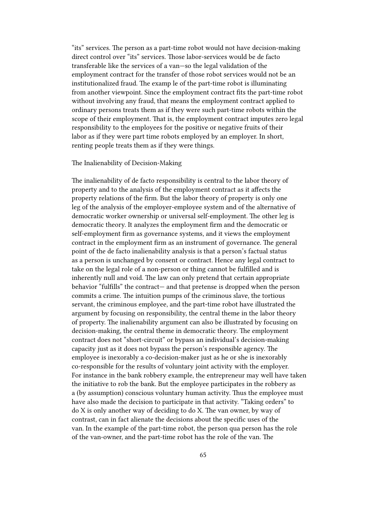"its" services. The person as a part-time robot would not have decision-making direct control over "its" services. Those labor-services would be de facto transferable like the services of a van—so the legal validation of the employment contract for the transfer of those robot services would not be an institutionalized fraud. The examp le of the part-time robot is illuminating from another viewpoint. Since the employment contract fits the part-time robot without involving any fraud, that means the employment contract applied to ordinary persons treats them as if they were such part-time robots within the scope of their employment. That is, the employment contract imputes zero legal responsibility to the employees for the positive or negative fruits of their labor as if they were part time robots employed by an employer. In short, renting people treats them as if they were things.

## The Inalienability of Decision-Making

The inalienability of de facto responsibility is central to the labor theory of property and to the analysis of the employment contract as it affects the property relations of the firm. But the labor theory of property is only one leg of the analysis of the employer-employee system and of the alternative of democratic worker ownership or universal self-employment. The other leg is democratic theory. It analyzes the employment firm and the democratic or self-employment firm as governance systems, and it views the employment contract in the employment firm as an instrument of governance. The general point of the de facto inalienability analysis is that a person's factual status as a person is unchanged by consent or contract. Hence any legal contract to take on the legal role of a non-person or thing cannot be fulfilled and is inherently null and void. The law can only pretend that certain appropriate behavior "fulfills" the contract— and that pretense is dropped when the person commits a crime. The intuition pumps of the criminous slave, the tortious servant, the criminous employee, and the part-time robot have illustrated the argument by focusing on responsibility, the central theme in the labor theory of property. The inalienability argument can also be illustrated by focusing on decision-making, the central theme in democratic theory. The employment contract does not "short-circuit" or bypass an individual's decision-making capacity just as it does not bypass the person's responsible agency. The employee is inexorably a co-decision-maker just as he or she is inexorably co-responsible for the results of voluntary joint activity with the employer. For instance in the bank robbery example, the entrepreneur may well have taken the initiative to rob the bank. But the employee participates in the robbery as a (by assumption) conscious voluntary human activity. Thus the employee must have also made the decision to participate in that activity. "Taking orders" to do X is only another way of deciding to do X. The van owner, by way of contrast, can in fact alienate the decisions about the specific uses of the van. In the example of the part-time robot, the person qua person has the role of the van-owner, and the part-time robot has the role of the van. The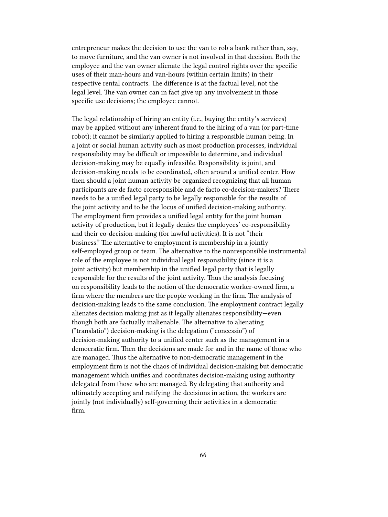entrepreneur makes the decision to use the van to rob a bank rather than, say, to move furniture, and the van owner is not involved in that decision. Both the employee and the van owner alienate the legal control rights over the specific uses of their man-hours and van-hours (within certain limits) in their respective rental contracts. The difference is at the factual level, not the legal level. The van owner can in fact give up any involvement in those specific use decisions; the employee cannot.

The legal relationship of hiring an entity (i.e., buying the entity's services) may be applied without any inherent fraud to the hiring of a van (or part-time robot); it cannot be similarly applied to hiring a responsible human being. In a joint or social human activity such as most production processes, individual responsibility may be difficult or impossible to determine, and individual decision-making may be equally infeasible. Responsibility is joint, and decision-making needs to be coordinated, often around a unified center. How then should a joint human activity be organized recognizing that all human participants are de facto coresponsible and de facto co-decision-makers? There needs to be a unified legal party to be legally responsible for the results of the joint activity and to be the locus of unified decision-making authority. The employment firm provides a unified legal entity for the joint human activity of production, but it legally denies the employees' co-responsibility and their co-decision-making (for lawful activities). It is not "their business." The alternative to employment is membership in a jointly self-employed group or team. The alternative to the nonresponsible instrumental role of the employee is not individual legal responsibility (since it is a joint activity) but membership in the unified legal party that is legally responsible for the results of the joint activity. Thus the analysis focusing on responsibility leads to the notion of the democratic worker-owned firm, a firm where the members are the people working in the firm. The analysis of decision-making leads to the same conclusion. The employment contract legally alienates decision making just as it legally alienates responsibility—even though both are factually inalienable. The alternative to alienating ("translatio") decision-making is the delegation ("concessio") of decision-making authority to a unified center such as the management in a democratic firm. Then the decisions are made for and in the name of those who are managed. Thus the alternative to non-democratic management in the employment firm is not the chaos of individual decision-making but democratic management which unifies and coordinates decision-making using authority delegated from those who are managed. By delegating that authority and ultimately accepting and ratifying the decisions in action, the workers are jointly (not individually) self-governing their activities in a democratic firm.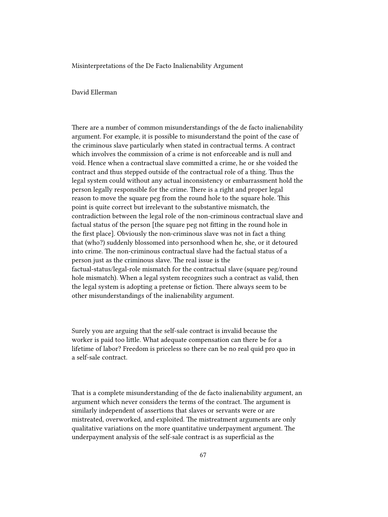Misinterpretations of the De Facto Inalienability Argument

# David Ellerman

There are a number of common misunderstandings of the de facto inalienability argument. For example, it is possible to misunderstand the point of the case of the criminous slave particularly when stated in contractual terms. A contract which involves the commission of a crime is not enforceable and is null and void. Hence when a contractual slave committed a crime, he or she voided the contract and thus stepped outside of the contractual role of a thing. Thus the legal system could without any actual inconsistency or embarrassment hold the person legally responsible for the crime. There is a right and proper legal reason to move the square peg from the round hole to the square hole. This point is quite correct but irrelevant to the substantive mismatch, the contradiction between the legal role of the non-criminous contractual slave and factual status of the person [the square peg not fitting in the round hole in the first place]. Obviously the non-criminous slave was not in fact a thing that (who?) suddenly blossomed into personhood when he, she, or it detoured into crime. The non-criminous contractual slave had the factual status of a person just as the criminous slave. The real issue is the factual-status/legal-role mismatch for the contractual slave (square peg/round hole mismatch). When a legal system recognizes such a contract as valid, then the legal system is adopting a pretense or fiction. There always seem to be other misunderstandings of the inalienability argument.

Surely you are arguing that the self-sale contract is invalid because the worker is paid too little. What adequate compensation can there be for a lifetime of labor? Freedom is priceless so there can be no real quid pro quo in a self-sale contract.

That is a complete misunderstanding of the de facto inalienability argument, an argument which never considers the terms of the contract. The argument is similarly independent of assertions that slaves or servants were or are mistreated, overworked, and exploited. The mistreatment arguments are only qualitative variations on the more quantitative underpayment argument. The underpayment analysis of the self-sale contract is as superficial as the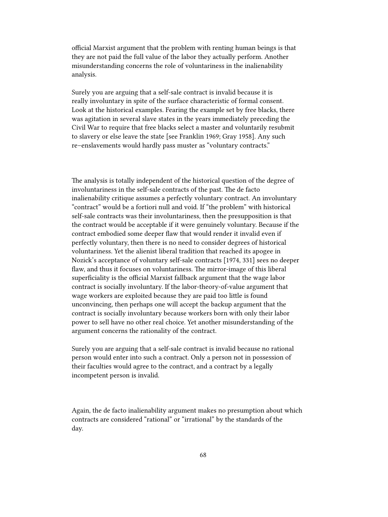official Marxist argument that the problem with renting human beings is that they are not paid the full value of the labor they actually perform. Another misunderstanding concerns the role of voluntariness in the inalienability analysis.

Surely you are arguing that a self-sale contract is invalid because it is really involuntary in spite of the surface characteristic of formal consent. Look at the historical examples. Fearing the example set by free blacks, there was agitation in several slave states in the years immediately preceding the Civil War to require that free blacks select a master and voluntarily resubmit to slavery or else leave the state [see Franklin 1969; Gray 1958]. Any such re–enslavements would hardly pass muster as "voluntary contracts."

The analysis is totally independent of the historical question of the degree of involuntariness in the self-sale contracts of the past. The de facto inalienability critique assumes a perfectly voluntary contract. An involuntary "contract" would be a fortiori null and void. If "the problem" with historical self-sale contracts was their involuntariness, then the presupposition is that the contract would be acceptable if it were genuinely voluntary. Because if the contract embodied some deeper flaw that would render it invalid even if perfectly voluntary, then there is no need to consider degrees of historical voluntariness. Yet the alienist liberal tradition that reached its apogee in Nozick's acceptance of voluntary self-sale contracts [1974, 331] sees no deeper flaw, and thus it focuses on voluntariness. The mirror-image of this liberal superficiality is the official Marxist fallback argument that the wage labor contract is socially involuntary. If the labor-theory-of-value argument that wage workers are exploited because they are paid too little is found unconvincing, then perhaps one will accept the backup argument that the contract is socially involuntary because workers born with only their labor power to sell have no other real choice. Yet another misunderstanding of the argument concerns the rationality of the contract.

Surely you are arguing that a self-sale contract is invalid because no rational person would enter into such a contract. Only a person not in possession of their faculties would agree to the contract, and a contract by a legally incompetent person is invalid.

Again, the de facto inalienability argument makes no presumption about which contracts are considered "rational" or "irrational" by the standards of the day.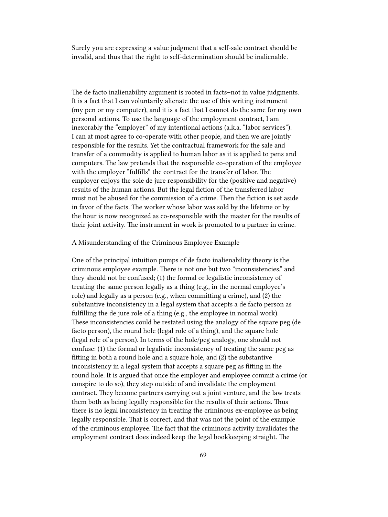Surely you are expressing a value judgment that a self-sale contract should be invalid, and thus that the right to self-determination should be inalienable.

The de facto inalienability argument is rooted in facts–not in value judgments. It is a fact that I can voluntarily alienate the use of this writing instrument (my pen or my computer), and it is a fact that I cannot do the same for my own personal actions. To use the language of the employment contract, I am inexorably the "employer" of my intentional actions (a.k.a. "labor services"). I can at most agree to co-operate with other people, and then we are jointly responsible for the results. Yet the contractual framework for the sale and transfer of a commodity is applied to human labor as it is applied to pens and computers. The law pretends that the responsible co-operation of the employee with the employer "fulfills" the contract for the transfer of labor. The employer enjoys the sole de jure responsibility for the (positive and negative) results of the human actions. But the legal fiction of the transferred labor must not be abused for the commission of a crime. Then the fiction is set aside in favor of the facts. The worker whose labor was sold by the lifetime or by the hour is now recognized as co-responsible with the master for the results of their joint activity. The instrument in work is promoted to a partner in crime.

#### A Misunderstanding of the Criminous Employee Example

One of the principal intuition pumps of de facto inalienability theory is the criminous employee example. There is not one but two "inconsistencies," and they should not be confused; (1) the formal or legalistic inconsistency of treating the same person legally as a thing (e.g., in the normal employee's role) and legally as a person (e.g., when committing a crime), and (2) the substantive inconsistency in a legal system that accepts a de facto person as fulfilling the de jure role of a thing (e.g., the employee in normal work). These inconsistencies could be restated using the analogy of the square peg (de facto person), the round hole (legal role of a thing), and the square hole (legal role of a person). In terms of the hole/peg analogy, one should not confuse: (1) the formal or legalistic inconsistency of treating the same peg as fitting in both a round hole and a square hole, and (2) the substantive inconsistency in a legal system that accepts a square peg as fitting in the round hole. It is argued that once the employer and employee commit a crime (or conspire to do so), they step outside of and invalidate the employment contract. They become partners carrying out a joint venture, and the law treats them both as being legally responsible for the results of their actions. Thus there is no legal inconsistency in treating the criminous ex-employee as being legally responsible. That is correct, and that was not the point of the example of the criminous employee. The fact that the criminous activity invalidates the employment contract does indeed keep the legal bookkeeping straight. The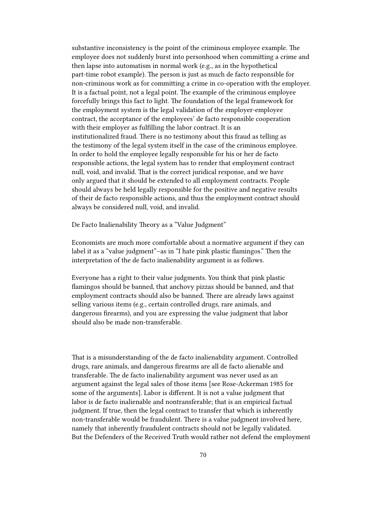substantive inconsistency is the point of the criminous employee example. The employee does not suddenly burst into personhood when committing a crime and then lapse into automatism in normal work (e.g., as in the hypothetical part-time robot example). The person is just as much de facto responsible for non-criminous work as for committing a crime in co-operation with the employer. It is a factual point, not a legal point. The example of the criminous employee forcefully brings this fact to light. The foundation of the legal framework for the employment system is the legal validation of the employer-employee contract, the acceptance of the employees' de facto responsible cooperation with their employer as fulfilling the labor contract. It is an institutionalized fraud. There is no testimony about this fraud as telling as the testimony of the legal system itself in the case of the criminous employee. In order to hold the employee legally responsible for his or her de facto responsible actions, the legal system has to render that employment contract null, void, and invalid. That is the correct juridical response, and we have only argued that it should be extended to all employment contracts. People should always be held legally responsible for the positive and negative results of their de facto responsible actions, and thus the employment contract should always be considered null, void, and invalid.

De Facto Inalienability Theory as a "Value Judgment"

Economists are much more comfortable about a normative argument if they can label it as a "value judgment"–as in "I hate pink plastic flamingos." Then the interpretation of the de facto inalienability argument is as follows.

Everyone has a right to their value judgments. You think that pink plastic flamingos should be banned, that anchovy pizzas should be banned, and that employment contracts should also be banned. There are already laws against selling various items (e.g., certain controlled drugs, rare animals, and dangerous firearms), and you are expressing the value judgment that labor should also be made non-transferable.

That is a misunderstanding of the de facto inalienability argument. Controlled drugs, rare animals, and dangerous firearms are all de facto alienable and transferable. The de facto inalienability argument was never used as an argument against the legal sales of those items [see Rose-Ackerman 1985 for some of the arguments]. Labor is different. It is not a value judgment that labor is de facto inalienable and nontransferable; that is an empirical factual judgment. If true, then the legal contract to transfer that which is inherently non-transferable would be fraudulent. There is a value judgment involved here, namely that inherently fraudulent contracts should not be legally validated. But the Defenders of the Received Truth would rather not defend the employment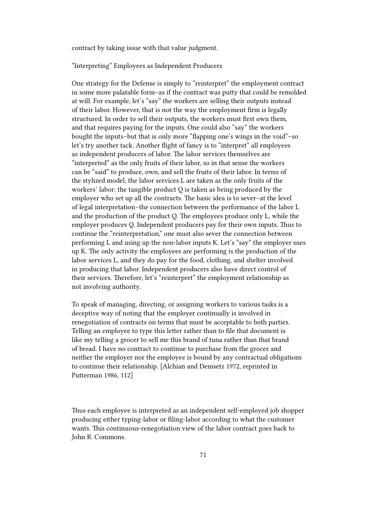contract by taking issue with that value judgment.

"Interpreting" Employees as Independent Producers

One strategy for the Defense is simply to "reinterpret" the employment contract in some more palatable form–as if the contract was putty that could be remolded at will. For example, let's "say" the workers are selling their outputs instead of their labor. However, that is not the way the employment firm is legally structured. In order to sell their outputs, the workers must first own them, and that requires paying for the inputs. One could also "say" the workers bought the inputs–but that is only more "flapping one's wings in the void"–so let's try another tack. Another flight of fancy is to "interpret" all employees as independent producers of labor. The labor services themselves are "interpreted" as the only fruits of their labor, so in that sense the workers can be "said" to produce, own, and sell the fruits of their labor. In terms of the stylized model, the labor services L are taken as the only fruits of the workers' labor; the tangible product Q is taken as being produced by the employer who set up all the contracts. The basic idea is to sever–at the level of legal interpretation–the connection between the performance of the labor L and the production of the product Q. The employees produce only L, while the employer produces Q. Independent producers pay for their own inputs. Thus to continue the "reinterpretation," one must also sever the connection between performing L and using up the non-labor inputs K. Let's "say" the employer uses up K. The only activity the employees are performing is the production of the labor services L, and they do pay for the food, clothing, and shelter involved in producing that labor. Independent producers also have direct control of their services. Therefore, let's "reinterpret" the employment relationship as not involving authority.

To speak of managing, directing, or assigning workers to various tasks is a deceptive way of noting that the employer continually is involved in renegotiation of contracts on terms that must be acceptable to both parties. Telling an employee to type this letter rather than to file that document is like my telling a grocer to sell me this brand of tuna rather than that brand of bread. I have no contract to continue to purchase from the grocer and neither the employer nor the employee is bound by any contractual obligations to continue their relationship. [Alchian and Demsetz 1972, reprinted in Putterman 1986, 112]

Thus each employee is interpreted as an independent self-employed job shopper producing either typing-labor or filing-labor according to what the customer wants. This continuous-renegotiation view of the labor contract goes back to John R. Commons.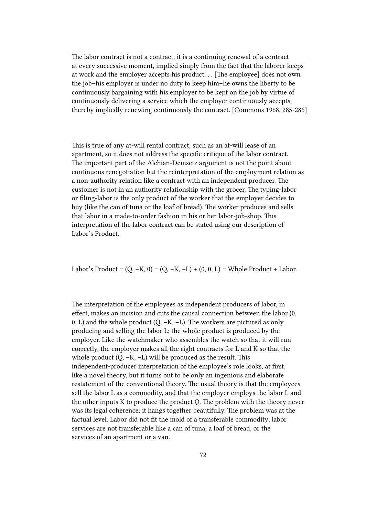The labor contract is not a contract, it is a continuing renewal of a contract at every successive moment, implied simply from the fact that the laborer keeps at work and the employer accepts his product. . . [The employee] does not own the job–his employer is under no duty to keep him–he owns the liberty to be continuously bargaining with his employer to be kept on the job by virtue of continuously delivering a service which the employer continuously accepts, thereby impliedly renewing continuously the contract. [Commons 1968, 285-286]

This is true of any at-will rental contract, such as an at-will lease of an apartment, so it does not address the specific critique of the labor contract. The important part of the Alchian-Demsetz argument is not the point about continuous renegotiation but the reinterpretation of the employment relation as a non-authority relation like a contract with an independent producer. The customer is not in an authority relationship with the grocer. The typing-labor or filing-labor is the only product of the worker that the employer decides to buy (like the can of tuna or the loaf of bread). The worker produces and sells that labor in a made-to-order fashion in his or her labor-job-shop. This interpretation of the labor contract can be stated using our description of Labor's Product.

Labor's Product =  $(Q, -K, 0) = (Q, -K, -L) + (0, 0, L) =$  Whole Product + Labor.

The interpretation of the employees as independent producers of labor, in effect, makes an incision and cuts the causal connection between the labor (0, 0, L) and the whole product  $(Q, -K, -L)$ . The workers are pictured as only producing and selling the labor L; the whole product is produced by the employer. Like the watchmaker who assembles the watch so that it will run correctly, the employer makes all the right contracts for L and K so that the whole product  $(Q, -K, -L)$  will be produced as the result. This independent-producer interpretation of the employee's role looks, at first, like a novel theory, but it turns out to be only an ingenious and elaborate restatement of the conventional theory. The usual theory is that the employees sell the labor L as a commodity, and that the employer employs the labor L and the other inputs K to produce the product Q. The problem with the theory never was its legal coherence; it hangs together beautifully. The problem was at the factual level. Labor did not fit the mold of a transferable commodity; labor services are not transferable like a can of tuna, a loaf of bread, or the services of an apartment or a van.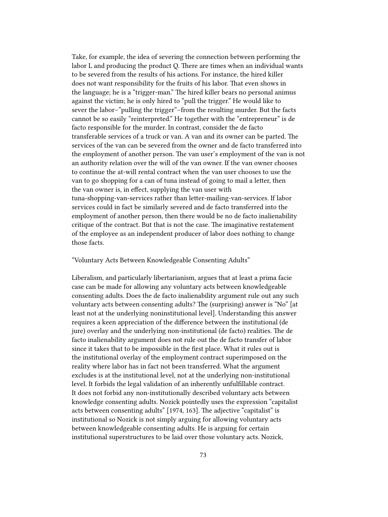Take, for example, the idea of severing the connection between performing the labor L and producing the product Q. There are times when an individual wants to be severed from the results of his actions. For instance, the hired killer does not want responsibility for the fruits of his labor. That even shows in the language; he is a "trigger-man." The hired killer bears no personal animus against the victim; he is only hired to "pull the trigger." He would like to sever the labor–"pulling the trigger"–from the resulting murder. But the facts cannot be so easily "reinterpreted." He together with the "entrepreneur" is de facto responsible for the murder. In contrast, consider the de facto transferable services of a truck or van. A van and its owner can be parted. The services of the van can be severed from the owner and de facto transferred into the employment of another person. The van user's employment of the van is not an authority relation over the will of the van owner. If the van owner chooses to continue the at-will rental contract when the van user chooses to use the van to go shopping for a can of tuna instead of going to mail a letter, then the van owner is, in effect, supplying the van user with tuna-shopping-van-services rather than letter-mailing-van-services. If labor services could in fact be similarly severed and de facto transferred into the employment of another person, then there would be no de facto inalienability critique of the contract. But that is not the case. The imaginative restatement of the employee as an independent producer of labor does nothing to change those facts.

## "Voluntary Acts Between Knowledgeable Consenting Adults"

Liberalism, and particularly libertarianism, argues that at least a prima facie case can be made for allowing any voluntary acts between knowledgeable consenting adults. Does the de facto inalienability argument rule out any such voluntary acts between consenting adults? The (surprising) answer is "No" [at least not at the underlying noninstitutional level]. Understanding this answer requires a keen appreciation of the difference between the institutional (de jure) overlay and the underlying non-institutional (de facto) realities. The de facto inalienability argument does not rule out the de facto transfer of labor since it takes that to be impossible in the first place. What it rules out is the institutional overlay of the employment contract superimposed on the reality where labor has in fact not been transferred. What the argument excludes is at the institutional level, not at the underlying non-institutional level. It forbids the legal validation of an inherently unfulfillable contract. It does not forbid any non-institutionally described voluntary acts between knowledge consenting adults. Nozick pointedly uses the expression "capitalist acts between consenting adults" [1974, 163]. The adjective "capitalist" is institutional so Nozick is not simply arguing for allowing voluntary acts between knowledgeable consenting adults. He is arguing for certain institutional superstructures to be laid over those voluntary acts. Nozick,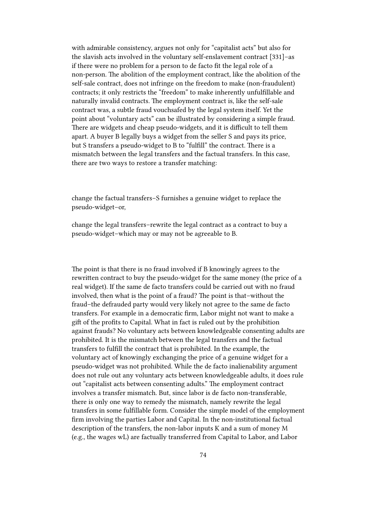with admirable consistency, argues not only for "capitalist acts" but also for the slavish acts involved in the voluntary self-enslavement contract [331]–as if there were no problem for a person to de facto fit the legal role of a non-person. The abolition of the employment contract, like the abolition of the self-sale contract, does not infringe on the freedom to make (non-fraudulent) contracts; it only restricts the "freedom" to make inherently unfulfillable and naturally invalid contracts. The employment contract is, like the self-sale contract was, a subtle fraud vouchsafed by the legal system itself. Yet the point about "voluntary acts" can be illustrated by considering a simple fraud. There are widgets and cheap pseudo-widgets, and it is difficult to tell them apart. A buyer B legally buys a widget from the seller S and pays its price, but S transfers a pseudo-widget to B to "fulfill" the contract. There is a mismatch between the legal transfers and the factual transfers. In this case, there are two ways to restore a transfer matching:

change the factual transfers–S furnishes a genuine widget to replace the pseudo-widget–or,

change the legal transfers–rewrite the legal contract as a contract to buy a pseudo-widget–which may or may not be agreeable to B.

The point is that there is no fraud involved if B knowingly agrees to the rewritten contract to buy the pseudo-widget for the same money (the price of a real widget). If the same de facto transfers could be carried out with no fraud involved, then what is the point of a fraud? The point is that–without the fraud–the defrauded party would very likely not agree to the same de facto transfers. For example in a democratic firm, Labor might not want to make a gift of the profits to Capital. What in fact is ruled out by the prohibition against frauds? No voluntary acts between knowledgeable consenting adults are prohibited. It is the mismatch between the legal transfers and the factual transfers to fulfill the contract that is prohibited. In the example, the voluntary act of knowingly exchanging the price of a genuine widget for a pseudo-widget was not prohibited. While the de facto inalienability argument does not rule out any voluntary acts between knowledgeable adults, it does rule out "capitalist acts between consenting adults." The employment contract involves a transfer mismatch. But, since labor is de facto non-transferable, there is only one way to remedy the mismatch, namely rewrite the legal transfers in some fulfillable form. Consider the simple model of the employment firm involving the parties Labor and Capital. In the non-institutional factual description of the transfers, the non-labor inputs K and a sum of money M (e.g., the wages wL) are factually transferred from Capital to Labor, and Labor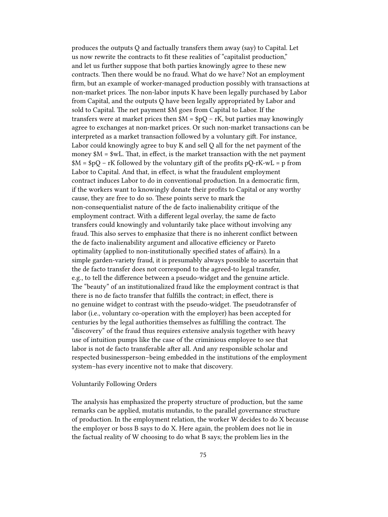produces the outputs Q and factually transfers them away (say) to Capital. Let us now rewrite the contracts to fit these realities of "capitalist production," and let us further suppose that both parties knowingly agree to these new contracts. Then there would be no fraud. What do we have? Not an employment firm, but an example of worker-managed production possibly with transactions at non-market prices. The non-labor inputs K have been legally purchased by Labor from Capital, and the outputs Q have been legally appropriated by Labor and sold to Capital. The net payment \$M goes from Capital to Labor. If the transfers were at market prices then  $M = \pmb{r}Q - rK$ , but parties may knowingly agree to exchanges at non-market prices. Or such non-market transactions can be interpreted as a market transaction followed by a voluntary gift. For instance, Labor could knowingly agree to buy K and sell Q all for the net payment of the money  $M = \text{WL}$ . That, in effect, is the market transaction with the net payment  $M = $pQ - rK$  followed by the voluntary gift of the profits  $pQ - rK - wL = p$  from Labor to Capital. And that, in effect, is what the fraudulent employment contract induces Labor to do in conventional production. In a democratic firm, if the workers want to knowingly donate their profits to Capital or any worthy cause, they are free to do so. These points serve to mark the non-consequentialist nature of the de facto inalienability critique of the employment contract. With a different legal overlay, the same de facto transfers could knowingly and voluntarily take place without involving any fraud. This also serves to emphasize that there is no inherent conflict between the de facto inalienability argument and allocative efficiency or Pareto optimality (applied to non-institutionally specified states of affairs). In a simple garden-variety fraud, it is presumably always possible to ascertain that the de facto transfer does not correspond to the agreed-to legal transfer, e.g., to tell the difference between a pseudo-widget and the genuine article. The "beauty" of an institutionalized fraud like the employment contract is that there is no de facto transfer that fulfills the contract; in effect, there is no genuine widget to contrast with the pseudo-widget. The pseudotransfer of labor (i.e., voluntary co-operation with the employer) has been accepted for centuries by the legal authorities themselves as fulfilling the contract. The "discovery" of the fraud thus requires extensive analysis together with heavy use of intuition pumps like the case of the criminious employee to see that labor is not de facto transferable after all. And any responsible scholar and respected businessperson–being embedded in the institutions of the employment system–has every incentive not to make that discovery.

## Voluntarily Following Orders

The analysis has emphasized the property structure of production, but the same remarks can be applied, mutatis mutandis, to the parallel governance structure of production. In the employment relation, the worker W decides to do X because the employer or boss B says to do X. Here again, the problem does not lie in the factual reality of W choosing to do what B says; the problem lies in the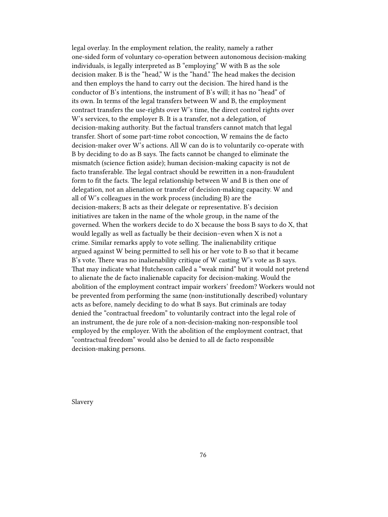legal overlay. In the employment relation, the reality, namely a rather one-sided form of voluntary co-operation between autonomous decision-making individuals, is legally interpreted as B "employing" W with B as the sole decision maker. B is the "head," W is the "hand." The head makes the decision and then employs the hand to carry out the decision. The hired hand is the conductor of B's intentions, the instrument of B's will; it has no "head" of its own. In terms of the legal transfers between W and B, the employment contract transfers the use-rights over W's time, the direct control rights over W's services, to the employer B. It is a transfer, not a delegation, of decision-making authority. But the factual transfers cannot match that legal transfer. Short of some part-time robot concoction, W remains the de facto decision-maker over W's actions. All W can do is to voluntarily co-operate with B by deciding to do as B says. The facts cannot be changed to eliminate the mismatch (science fiction aside); human decision-making capacity is not de facto transferable. The legal contract should be rewritten in a non-fraudulent form to fit the facts. The legal relationship between W and B is then one of delegation, not an alienation or transfer of decision-making capacity. W and all of W's colleagues in the work process (including B) are the decision-makers; B acts as their delegate or representative. B's decision initiatives are taken in the name of the whole group, in the name of the governed. When the workers decide to do X because the boss B says to do X, that would legally as well as factually be their decision–even when X is not a crime. Similar remarks apply to vote selling. The inalienability critique argued against W being permitted to sell his or her vote to B so that it became B's vote. There was no inalienability critique of W casting W's vote as B says. That may indicate what Hutcheson called a "weak mind" but it would not pretend to alienate the de facto inalienable capacity for decision-making. Would the abolition of the employment contract impair workers' freedom? Workers would not be prevented from performing the same (non-institutionally described) voluntary acts as before, namely deciding to do what B says. But criminals are today denied the "contractual freedom" to voluntarily contract into the legal role of an instrument, the de jure role of a non-decision-making non-responsible tool employed by the employer. With the abolition of the employment contract, that "contractual freedom" would also be denied to all de facto responsible decision-making persons.

Slavery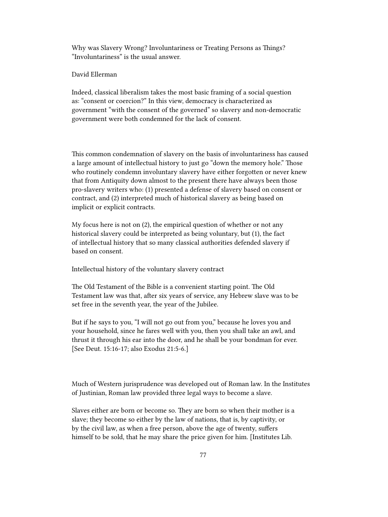Why was Slavery Wrong? Involuntariness or Treating Persons as Things? "Involuntariness" is the usual answer.

## David Ellerman

Indeed, classical liberalism takes the most basic framing of a social question as: "consent or coercion?" In this view, democracy is characterized as government "with the consent of the governed" so slavery and non-democratic government were both condemned for the lack of consent.

This common condemnation of slavery on the basis of involuntariness has caused a large amount of intellectual history to just go "down the memory hole." Those who routinely condemn involuntary slavery have either forgotten or never knew that from Antiquity down almost to the present there have always been those pro-slavery writers who: (1) presented a defense of slavery based on consent or contract, and (2) interpreted much of historical slavery as being based on implicit or explicit contracts.

My focus here is not on (2), the empirical question of whether or not any historical slavery could be interpreted as being voluntary, but (1), the fact of intellectual history that so many classical authorities defended slavery if based on consent.

Intellectual history of the voluntary slavery contract

The Old Testament of the Bible is a convenient starting point. The Old Testament law was that, after six years of service, any Hebrew slave was to be set free in the seventh year, the year of the Jubilee.

But if he says to you, "I will not go out from you," because he loves you and your household, since he fares well with you, then you shall take an awl, and thrust it through his ear into the door, and he shall be your bondman for ever. [See Deut. 15:16-17; also Exodus 21:5-6.]

Much of Western jurisprudence was developed out of Roman law. In the Institutes of Justinian, Roman law provided three legal ways to become a slave.

Slaves either are born or become so. They are born so when their mother is a slave; they become so either by the law of nations, that is, by captivity, or by the civil law, as when a free person, above the age of twenty, suffers himself to be sold, that he may share the price given for him. [Institutes Lib.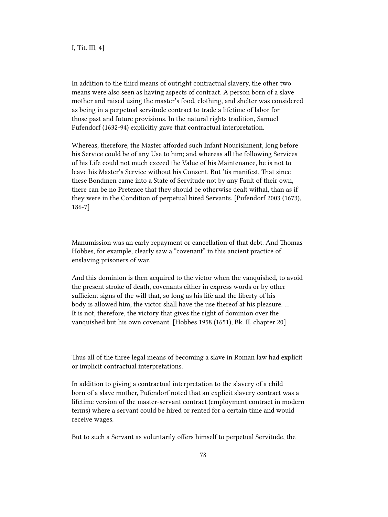I, Tit. III, 4]

In addition to the third means of outright contractual slavery, the other two means were also seen as having aspects of contract. A person born of a slave mother and raised using the master's food, clothing, and shelter was considered as being in a perpetual servitude contract to trade a lifetime of labor for those past and future provisions. In the natural rights tradition, Samuel Pufendorf (1632-94) explicitly gave that contractual interpretation.

Whereas, therefore, the Master afforded such Infant Nourishment, long before his Service could be of any Use to him; and whereas all the following Services of his Life could not much exceed the Value of his Maintenance, he is not to leave his Master's Service without his Consent. But 'tis manifest, That since these Bondmen came into a State of Servitude not by any Fault of their own, there can be no Pretence that they should be otherwise dealt withal, than as if they were in the Condition of perpetual hired Servants. [Pufendorf 2003 (1673), 186-7]

Manumission was an early repayment or cancellation of that debt. And Thomas Hobbes, for example, clearly saw a "covenant" in this ancient practice of enslaving prisoners of war.

And this dominion is then acquired to the victor when the vanquished, to avoid the present stroke of death, covenants either in express words or by other sufficient signs of the will that, so long as his life and the liberty of his body is allowed him, the victor shall have the use thereof at his pleasure. … It is not, therefore, the victory that gives the right of dominion over the vanquished but his own covenant. [Hobbes 1958 (1651), Bk. II, chapter 20]

Thus all of the three legal means of becoming a slave in Roman law had explicit or implicit contractual interpretations.

In addition to giving a contractual interpretation to the slavery of a child born of a slave mother, Pufendorf noted that an explicit slavery contract was a lifetime version of the master-servant contract (employment contract in modern terms) where a servant could be hired or rented for a certain time and would receive wages.

But to such a Servant as voluntarily offers himself to perpetual Servitude, the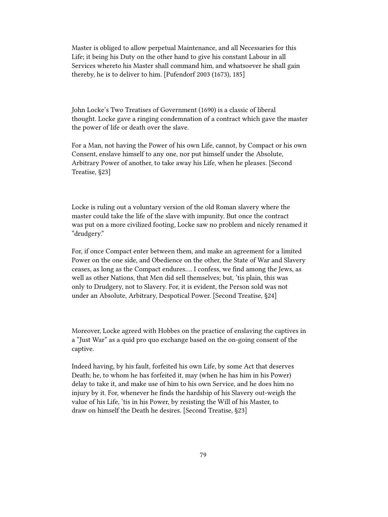Master is obliged to allow perpetual Maintenance, and all Necessaries for this Life; it being his Duty on the other hand to give his constant Labour in all Services whereto his Master shall command him, and whatsoever he shall gain thereby, he is to deliver to him. [Pufendorf 2003 (1673), 185]

John Locke's Two Treatises of Government (1690) is a classic of liberal thought. Locke gave a ringing condemnation of a contract which gave the master the power of life or death over the slave.

For a Man, not having the Power of his own Life, cannot, by Compact or his own Consent, enslave himself to any one, nor put himself under the Absolute, Arbitrary Power of another, to take away his Life, when he pleases. [Second Treatise, §23]

Locke is ruling out a voluntary version of the old Roman slavery where the master could take the life of the slave with impunity. But once the contract was put on a more civilized footing, Locke saw no problem and nicely renamed it "drudgery."

For, if once Compact enter between them, and make an agreement for a limited Power on the one side, and Obedience on the other, the State of War and Slavery ceases, as long as the Compact endures…. I confess, we find among the Jews, as well as other Nations, that Men did sell themselves; but, 'tis plain, this was only to Drudgery, not to Slavery. For, it is evident, the Person sold was not under an Absolute, Arbitrary, Despotical Power. [Second Treatise, §24]

Moreover, Locke agreed with Hobbes on the practice of enslaving the captives in a "Just War" as a quid pro quo exchange based on the on-going consent of the captive.

Indeed having, by his fault, forfeited his own Life, by some Act that deserves Death; he, to whom he has forfeited it, may (when he has him in his Power) delay to take it, and make use of him to his own Service, and he does him no injury by it. For, whenever he finds the hardship of his Slavery out-weigh the value of his Life, 'tis in his Power, by resisting the Will of his Master, to draw on himself the Death he desires. [Second Treatise, §23]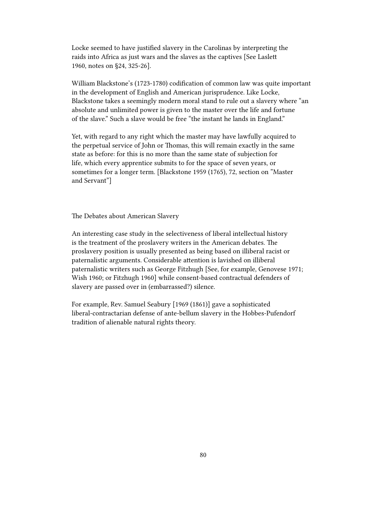Locke seemed to have justified slavery in the Carolinas by interpreting the raids into Africa as just wars and the slaves as the captives [See Laslett 1960, notes on §24, 325-26].

William Blackstone's (1723-1780) codification of common law was quite important in the development of English and American jurisprudence. Like Locke, Blackstone takes a seemingly modern moral stand to rule out a slavery where "an absolute and unlimited power is given to the master over the life and fortune of the slave." Such a slave would be free "the instant he lands in England."

Yet, with regard to any right which the master may have lawfully acquired to the perpetual service of John or Thomas, this will remain exactly in the same state as before: for this is no more than the same state of subjection for life, which every apprentice submits to for the space of seven years, or sometimes for a longer term. [Blackstone 1959 (1765), 72, section on "Master and Servant"]

The Debates about American Slavery

An interesting case study in the selectiveness of liberal intellectual history is the treatment of the proslavery writers in the American debates. The proslavery position is usually presented as being based on illiberal racist or paternalistic arguments. Considerable attention is lavished on illiberal paternalistic writers such as George Fitzhugh [See, for example, Genovese 1971; Wish 1960; or Fitzhugh 1960] while consent-based contractual defenders of slavery are passed over in (embarrassed?) silence.

For example, Rev. Samuel Seabury [1969 (1861)] gave a sophisticated liberal-contractarian defense of ante-bellum slavery in the Hobbes-Pufendorf tradition of alienable natural rights theory.